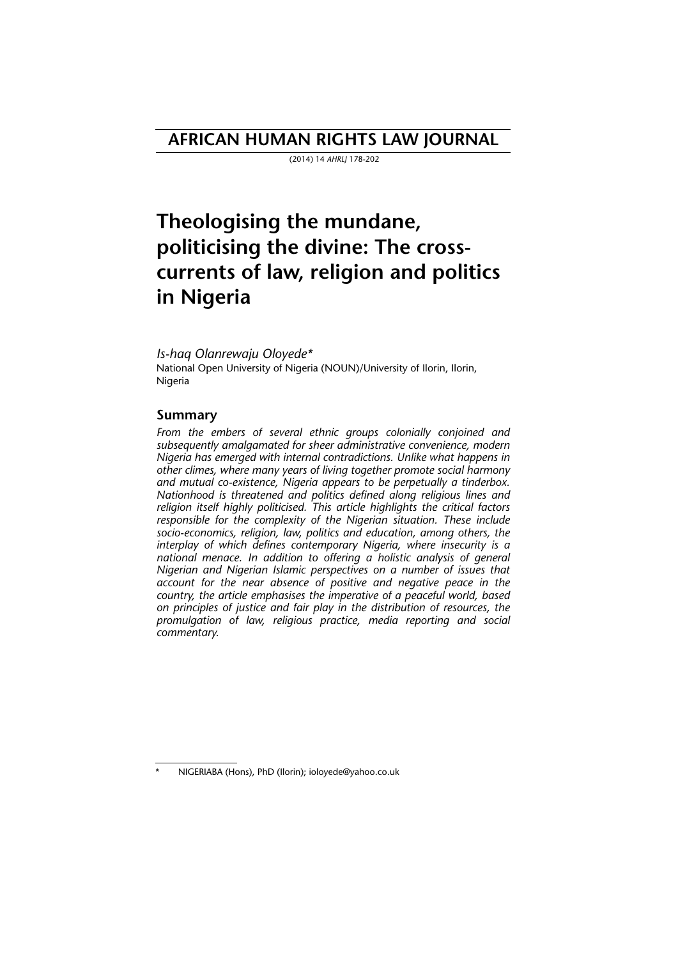## **AFRICAN HUMAN RIGHTS LAW JOURNAL**

(2014) 14 *AHRLJ* 178-202

# **Theologising the mundane, politicising the divine: The crosscurrents of law, religion and politics in Nigeria**

*Is-haq Olanrewaju Oloyede\** National Open University of Nigeria (NOUN)/University of Ilorin, Ilorin, Nigeria

#### **Summary**

*From the embers of several ethnic groups colonially conjoined and subsequently amalgamated for sheer administrative convenience, modern Nigeria has emerged with internal contradictions. Unlike what happens in other climes, where many years of living together promote social harmony and mutual co-existence, Nigeria appears to be perpetually a tinderbox. Nationhood is threatened and politics defined along religious lines and religion itself highly politicised. This article highlights the critical factors responsible for the complexity of the Nigerian situation. These include socio-economics, religion, law, politics and education, among others, the interplay of which defines contemporary Nigeria, where insecurity is a national menace. In addition to offering a holistic analysis of general Nigerian and Nigerian Islamic perspectives on a number of issues that account for the near absence of positive and negative peace in the country, the article emphasises the imperative of a peaceful world, based on principles of justice and fair play in the distribution of resources, the promulgation of law, religious practice, media reporting and social commentary.* 

NIGERIABA (Hons), PhD (Ilorin); ioloyede@yahoo.co.uk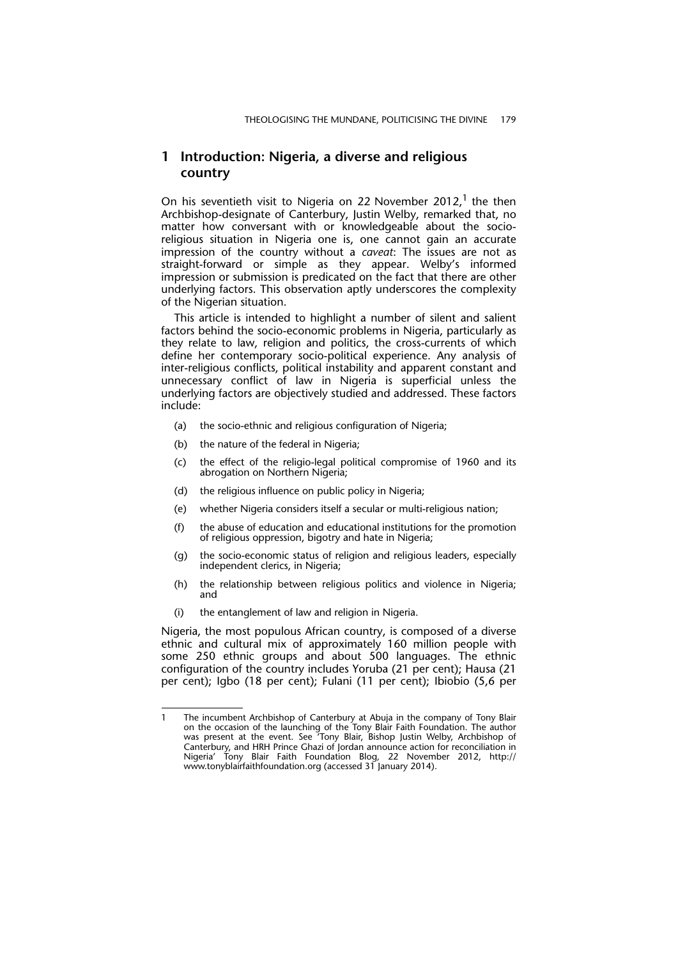#### **1 Introduction: Nigeria, a diverse and religious country**

On his seventieth visit to Nigeria on 22 November 2012,<sup>1</sup> the then Archbishop-designate of Canterbury, Justin Welby, remarked that, no matter how conversant with or knowledgeable about the socioreligious situation in Nigeria one is, one cannot gain an accurate impression of the country without a *caveat*: The issues are not as straight-forward or simple as they appear. Welby's informed impression or submission is predicated on the fact that there are other underlying factors. This observation aptly underscores the complexity of the Nigerian situation.

This article is intended to highlight a number of silent and salient factors behind the socio-economic problems in Nigeria, particularly as they relate to law, religion and politics, the cross-currents of which define her contemporary socio-political experience. Any analysis of inter-religious conflicts, political instability and apparent constant and unnecessary conflict of law in Nigeria is superficial unless the underlying factors are objectively studied and addressed. These factors include:

- (a) the socio-ethnic and religious configuration of Nigeria;
- (b) the nature of the federal in Nigeria;
- (c) the effect of the religio-legal political compromise of 1960 and its abrogation on Northern Nigeria;
- (d) the religious influence on public policy in Nigeria;
- (e) whether Nigeria considers itself a secular or multi-religious nation;
- (f) the abuse of education and educational institutions for the promotion of religious oppression, bigotry and hate in Nigeria;
- (g) the socio-economic status of religion and religious leaders, especially independent clerics, in Nigeria;
- (h) the relationship between religious politics and violence in Nigeria; and
- (i) the entanglement of law and religion in Nigeria.

Nigeria, the most populous African country, is composed of a diverse ethnic and cultural mix of approximately 160 million people with some 250 ethnic groups and about 500 languages. The ethnic configuration of the country includes Yoruba (21 per cent); Hausa (21 per cent); Igbo (18 per cent); Fulani (11 per cent); Ibiobio (5,6 per

<sup>1</sup> The incumbent Archbishop of Canterbury at Abuja in the company of Tony Blair on the occasion of the launching of the Tony Blair Faith Foundation. The author was present at the event. See 'Tony Blair, Bishop Justin Welby, Archbishop of Canterbury, and HRH Prince Ghazi of Jordan announce action for reconciliation in Nigeria' Tony Blair Faith Foundation Blog*,* 22 November 2012, http:// www.tonyblairfaithfoundation.org (accessed 31 January 2014).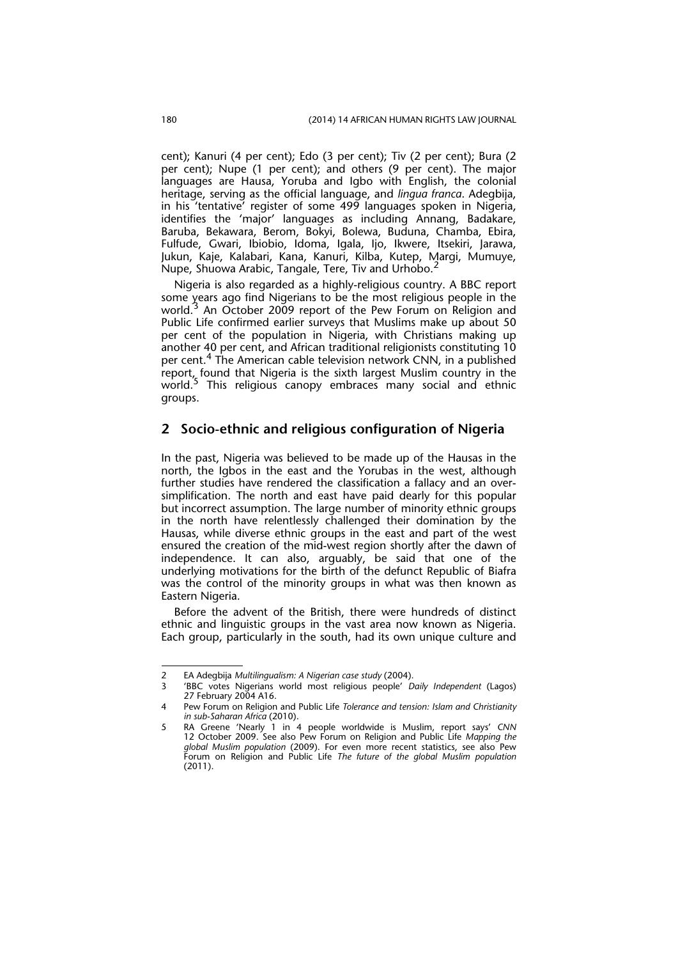cent); Kanuri (4 per cent); Edo (3 per cent); Tiv (2 per cent); Bura (2 per cent); Nupe (1 per cent); and others (9 per cent). The major languages are Hausa, Yoruba and Igbo with English, the colonial heritage, serving as the official language, and *lingua franca*. Adegbija, in his 'tentative' register of some 499 languages spoken in Nigeria, identifies the 'major' languages as including Annang, Badakare, Baruba, Bekawara, Berom, Bokyi, Bolewa, Buduna, Chamba, Ebira, Fulfude, Gwari, Ibiobio, Idoma, Igala, Ijo, Ikwere, Itsekiri, Jarawa, Jukun, Kaje, Kalabari, Kana, Kanuri, Kilba, Kutep, Margi, Mumuye, Nupe, Shuowa Arabic, Tangale, Tere, Tiv and Urhobo.<sup>2</sup>

Nigeria is also regarded as a highly-religious country. A BBC report some years ago find Nigerians to be the most religious people in the world.<sup>3</sup> An October 2009 report of the Pew Forum on Religion and Public Life confirmed earlier surveys that Muslims make up about 50 per cent of the population in Nigeria, with Christians making up another 40 per cent, and African traditional religionists constituting 10 per cent.4 The American cable television network CNN, in a published report, found that Nigeria is the sixth largest Muslim country in the world.<sup>5</sup> This religious canopy embraces many social and ethnic groups.

#### **2 Socio-ethnic and religious configuration of Nigeria**

In the past, Nigeria was believed to be made up of the Hausas in the north, the Igbos in the east and the Yorubas in the west, although further studies have rendered the classification a fallacy and an oversimplification. The north and east have paid dearly for this popular but incorrect assumption. The large number of minority ethnic groups in the north have relentlessly challenged their domination by the Hausas, while diverse ethnic groups in the east and part of the west ensured the creation of the mid-west region shortly after the dawn of independence. It can also, arguably, be said that one of the underlying motivations for the birth of the defunct Republic of Biafra was the control of the minority groups in what was then known as Eastern Nigeria.

Before the advent of the British, there were hundreds of distinct ethnic and linguistic groups in the vast area now known as Nigeria. Each group, particularly in the south, had its own unique culture and

<sup>2</sup> EA Adegbija *Multilingualism: A Nigerian case study* (2004).

<sup>3 &#</sup>x27;BBC votes Nigerians world most religious people' *Daily Independent* (Lagos) 27 February 2004 A16.

Pew Forum on Religion and Public Life *Tolerance and tension: Islam and Christianity in sub-Saharan Africa* (2010).

<sup>5</sup> RA Greene 'Nearly 1 in 4 people worldwide is Muslim, report says' *CNN* 12 October 2009. See also Pew Forum on Religion and Public Life *Mapping the global Muslim population* (2009). For even more recent statistics, see also Pew Forum on Religion and Public Life *The future of the global Muslim population* (2011).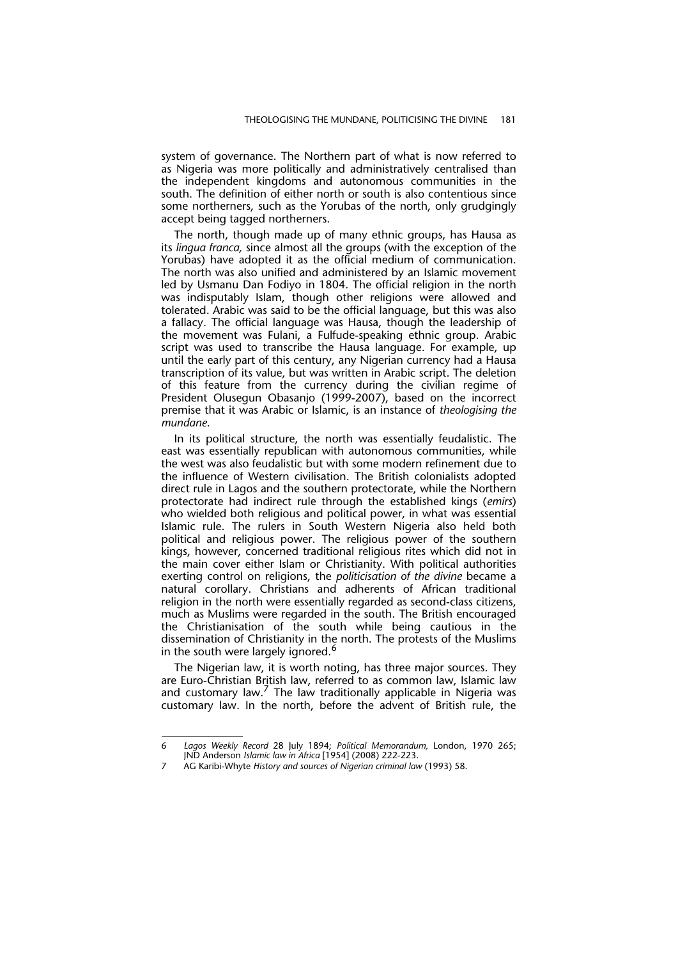system of governance. The Northern part of what is now referred to as Nigeria was more politically and administratively centralised than the independent kingdoms and autonomous communities in the south. The definition of either north or south is also contentious since some northerners, such as the Yorubas of the north, only grudgingly accept being tagged northerners.

The north, though made up of many ethnic groups, has Hausa as its *lingua franca,* since almost all the groups (with the exception of the Yorubas) have adopted it as the official medium of communication. The north was also unified and administered by an Islamic movement led by Usmanu Dan Fodiyo in 1804. The official religion in the north was indisputably Islam, though other religions were allowed and tolerated. Arabic was said to be the official language, but this was also a fallacy. The official language was Hausa, though the leadership of the movement was Fulani, a Fulfude-speaking ethnic group. Arabic script was used to transcribe the Hausa language. For example, up until the early part of this century, any Nigerian currency had a Hausa transcription of its value, but was written in Arabic script. The deletion of this feature from the currency during the civilian regime of President Olusegun Obasanjo (1999-2007), based on the incorrect premise that it was Arabic or Islamic, is an instance of *theologising the mundane*.

In its political structure, the north was essentially feudalistic. The east was essentially republican with autonomous communities, while the west was also feudalistic but with some modern refinement due to the influence of Western civilisation. The British colonialists adopted direct rule in Lagos and the southern protectorate, while the Northern protectorate had indirect rule through the established kings (*emirs*) who wielded both religious and political power, in what was essential Islamic rule. The rulers in South Western Nigeria also held both political and religious power. The religious power of the southern kings, however, concerned traditional religious rites which did not in the main cover either Islam or Christianity. With political authorities exerting control on religions, the *politicisation of the divine* became a natural corollary. Christians and adherents of African traditional religion in the north were essentially regarded as second-class citizens, much as Muslims were regarded in the south. The British encouraged the Christianisation of the south while being cautious in the dissemination of Christianity in the north. The protests of the Muslims in the south were largely ignored.<sup>6</sup>

The Nigerian law, it is worth noting, has three major sources. They are Euro-Christian British law, referred to as common law, Islamic law and customary law.<sup>7</sup> The law traditionally applicable in Nigeria was customary law. In the north, before the advent of British rule, the

<sup>6</sup> *Lagos Weekly Record* 28 July 1894; *Political Memorandum,* London, 1970 265; JND Anderson *Islamic law in Africa* [1954] (2008) 222-223.

<sup>7</sup> AG Karibi-Whyte *History and sources of Nigerian criminal law* (1993) 58.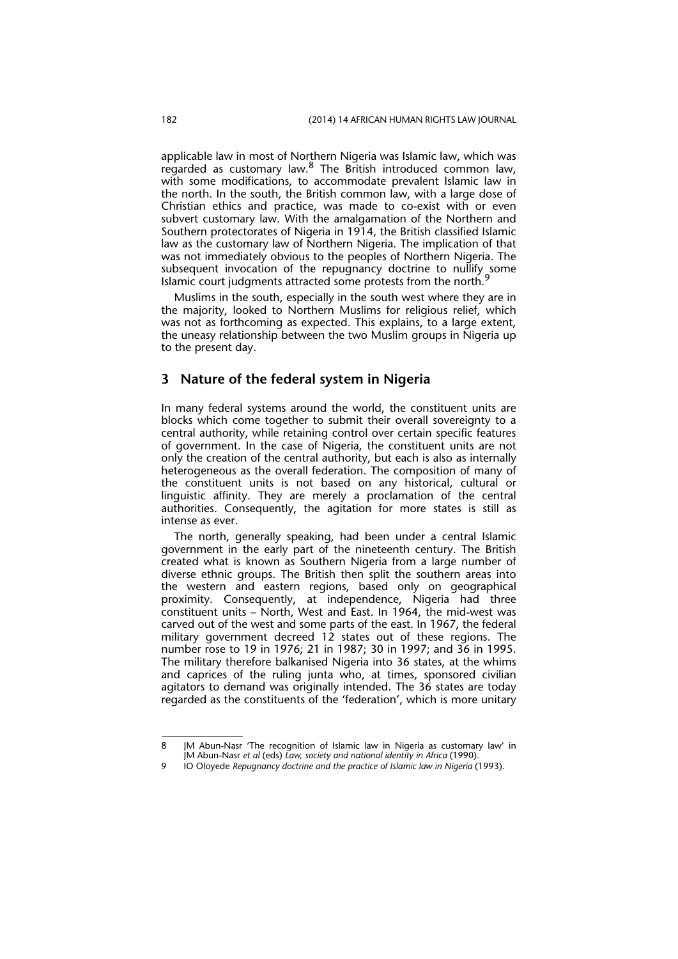applicable law in most of Northern Nigeria was Islamic law, which was regarded as customary law.<sup>8</sup> The British introduced common law, with some modifications, to accommodate prevalent Islamic law in the north. In the south, the British common law, with a large dose of Christian ethics and practice, was made to co-exist with or even subvert customary law. With the amalgamation of the Northern and Southern protectorates of Nigeria in 1914, the British classified Islamic law as the customary law of Northern Nigeria. The implication of that was not immediately obvious to the peoples of Northern Nigeria. The subsequent invocation of the repugnancy doctrine to nullify some Islamic court judgments attracted some protests from the north.<sup>9</sup>

Muslims in the south, especially in the south west where they are in the majority, looked to Northern Muslims for religious relief, which was not as forthcoming as expected. This explains, to a large extent, the uneasy relationship between the two Muslim groups in Nigeria up to the present day.

#### **3 Nature of the federal system in Nigeria**

In many federal systems around the world, the constituent units are blocks which come together to submit their overall sovereignty to a central authority, while retaining control over certain specific features of government. In the case of Nigeria, the constituent units are not only the creation of the central authority, but each is also as internally heterogeneous as the overall federation. The composition of many of the constituent units is not based on any historical, cultural or linguistic affinity. They are merely a proclamation of the central authorities. Consequently, the agitation for more states is still as intense as ever.

The north, generally speaking, had been under a central Islamic government in the early part of the nineteenth century. The British created what is known as Southern Nigeria from a large number of diverse ethnic groups. The British then split the southern areas into the western and eastern regions, based only on geographical proximity. Consequently, at independence, Nigeria had three constituent units – North, West and East. In 1964, the mid-west was carved out of the west and some parts of the east. In 1967, the federal military government decreed 12 states out of these regions. The number rose to 19 in 1976; 21 in 1987; 30 in 1997; and 36 in 1995. The military therefore balkanised Nigeria into 36 states, at the whims and caprices of the ruling junta who, at times, sponsored civilian agitators to demand was originally intended. The 36 states are today regarded as the constituents of the 'federation', which is more unitary

<sup>8</sup> JM Abun-Nasr 'The recognition of Islamic law in Nigeria as customary law' in JM Abun-Nasr *et al* (eds) *Law, society and national identity in Africa* (1990).

<sup>9</sup> IO Oloyede *Repugnancy doctrine and the practice of Islamic law in Nigeria* (1993).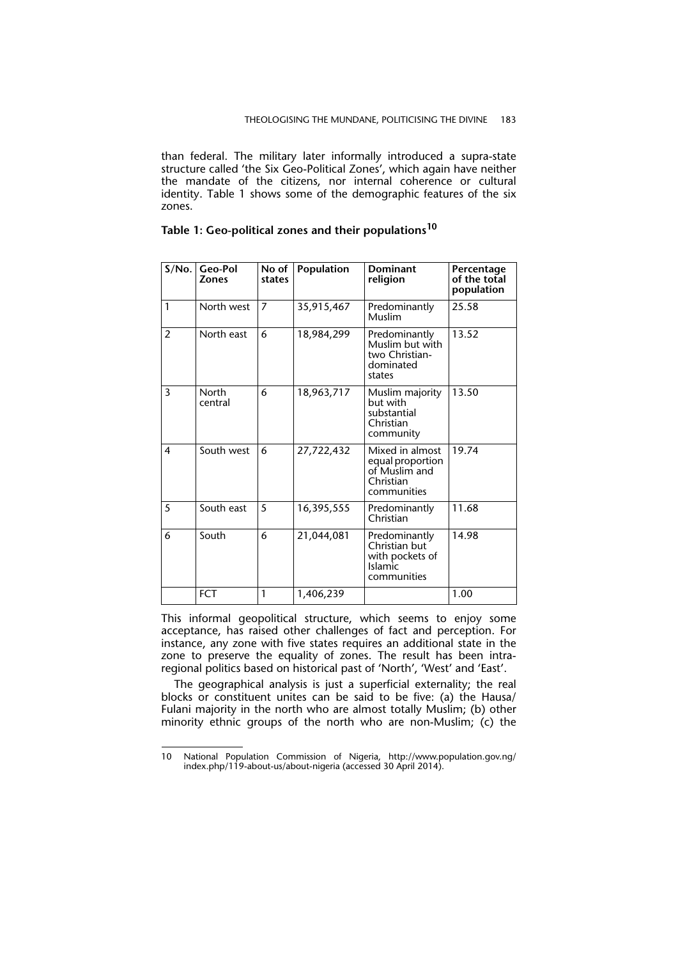than federal. The military later informally introduced a supra-state structure called 'the Six Geo-Political Zones', which again have neither the mandate of the citizens, nor internal coherence or cultural identity. Table 1 shows some of the demographic features of the six zones.

#### **Table 1: Geo-political zones and their populations<sup>10</sup>**

| S/No.          | Geo-Pol<br><b>Zones</b> | No of<br>states | Population | <b>Dominant</b><br>religion                                                        | Percentage<br>of the total<br>population |
|----------------|-------------------------|-----------------|------------|------------------------------------------------------------------------------------|------------------------------------------|
| $\mathbf{1}$   | North west              | $\overline{7}$  | 35,915,467 | Predominantly<br>Muslim                                                            | 25.58                                    |
| $\mathfrak{p}$ | North east              | 6               | 18,984,299 | Predominantly<br>Muslim but with<br>two Christian-<br>dominated<br>states          | 13.52                                    |
| 3              | North<br>central        | 6               | 18,963,717 | Muslim majority<br>but with<br>substantial<br>Christian<br>community               | 13.50                                    |
| 4              | South west              | 6               | 27,722,432 | Mixed in almost<br>equal proportion<br>of Muslim and<br>Christian<br>communities   | 19.74                                    |
| 5              | South east              | 5               | 16,395,555 | Predominantly<br>Christian                                                         | 11.68                                    |
| 6              | South                   | 6               | 21,044,081 | Predominantly<br>Christian but<br>with pockets of<br><b>Islamic</b><br>communities | 14.98                                    |
|                | <b>FCT</b>              | 1               | 1,406,239  |                                                                                    | 1.00                                     |

This informal geopolitical structure, which seems to enjoy some acceptance, has raised other challenges of fact and perception. For instance, any zone with five states requires an additional state in the zone to preserve the equality of zones. The result has been intraregional politics based on historical past of 'North', 'West' and 'East'.

The geographical analysis is just a superficial externality; the real blocks or constituent unites can be said to be five: (a) the Hausa/ Fulani majority in the north who are almost totally Muslim; (b) other minority ethnic groups of the north who are non-Muslim; (c) the

<sup>10</sup> National Population Commission of Nigeria, http://www.population.gov.ng/ index.php/119-about-us/about-nigeria (accessed 30 April 2014).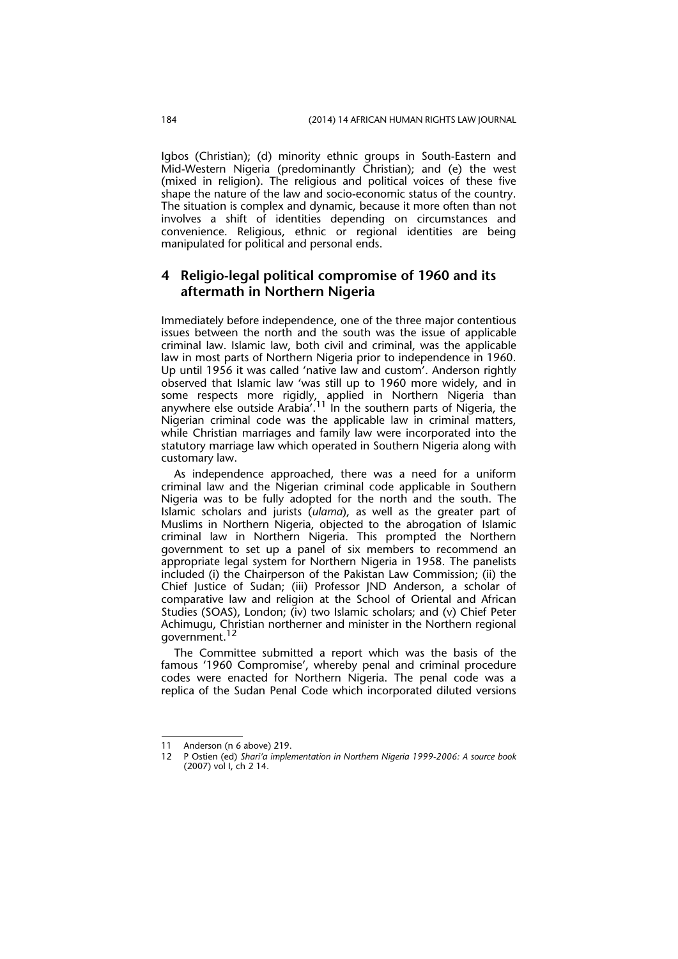Igbos (Christian); (d) minority ethnic groups in South-Eastern and Mid-Western Nigeria (predominantly Christian); and (e) the west (mixed in religion). The religious and political voices of these five shape the nature of the law and socio-economic status of the country. The situation is complex and dynamic, because it more often than not involves a shift of identities depending on circumstances and convenience. Religious, ethnic or regional identities are being manipulated for political and personal ends.

#### **4 Religio-legal political compromise of 1960 and its aftermath in Northern Nigeria**

Immediately before independence, one of the three major contentious issues between the north and the south was the issue of applicable criminal law. Islamic law, both civil and criminal, was the applicable law in most parts of Northern Nigeria prior to independence in 1960. Up until 1956 it was called 'native law and custom'. Anderson rightly observed that Islamic law 'was still up to 1960 more widely, and in some respects more rigidly, applied in Northern Nigeria than anywhere else outside Arabia<sup>'.11</sup> In the southern parts of Nigeria, the Nigerian criminal code was the applicable law in criminal matters, while Christian marriages and family law were incorporated into the statutory marriage law which operated in Southern Nigeria along with customary law.

As independence approached, there was a need for a uniform criminal law and the Nigerian criminal code applicable in Southern Nigeria was to be fully adopted for the north and the south. The Islamic scholars and jurists (*ulama*), as well as the greater part of Muslims in Northern Nigeria, objected to the abrogation of Islamic criminal law in Northern Nigeria. This prompted the Northern government to set up a panel of six members to recommend an appropriate legal system for Northern Nigeria in 1958. The panelists included (i) the Chairperson of the Pakistan Law Commission; (ii) the Chief Justice of Sudan; (iii) Professor JND Anderson, a scholar of comparative law and religion at the School of Oriental and African Studies (SOAS), London; (iv) two Islamic scholars; and (v) Chief Peter Achimugu, Christian northerner and minister in the Northern regional government.<sup>12</sup>

The Committee submitted a report which was the basis of the famous '1960 Compromise', whereby penal and criminal procedure codes were enacted for Northern Nigeria. The penal code was a replica of the Sudan Penal Code which incorporated diluted versions

<sup>11</sup> Anderson (n 6 above) 219.

<sup>12</sup> P Ostien (ed) *Shari'a implementation in Northern Nigeria 1999-2006: A source book* (2007) vol I, ch 2 14.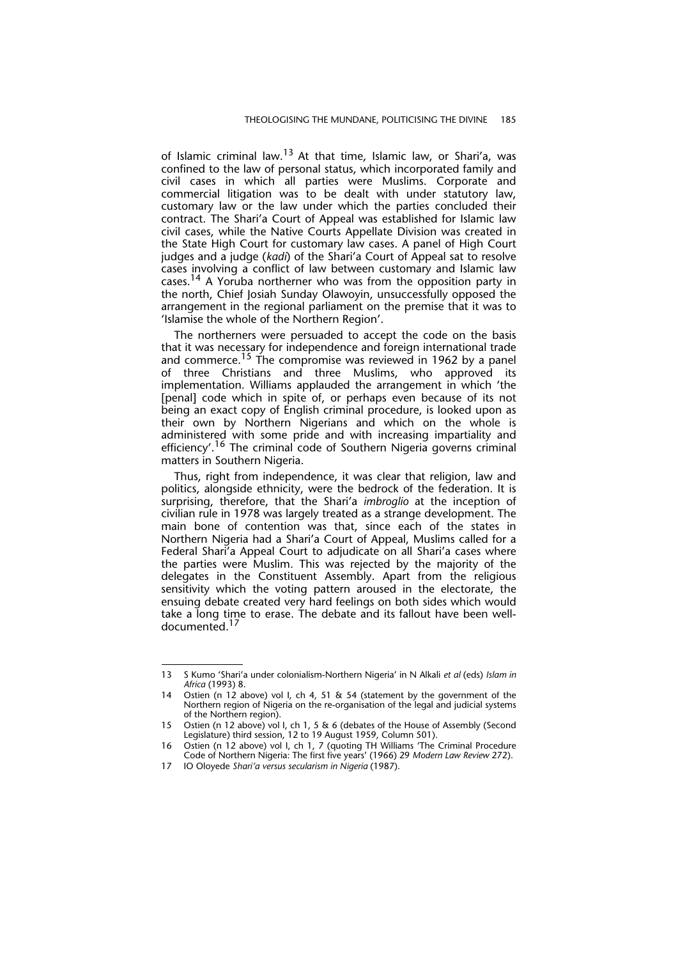of Islamic criminal law.<sup>13</sup> At that time, Islamic law, or Shari'a, was confined to the law of personal status, which incorporated family and civil cases in which all parties were Muslims. Corporate and commercial litigation was to be dealt with under statutory law, customary law or the law under which the parties concluded their contract. The Shari'a Court of Appeal was established for Islamic law civil cases, while the Native Courts Appellate Division was created in the State High Court for customary law cases. A panel of High Court judges and a judge (*kadi*) of the Shari'a Court of Appeal sat to resolve cases involving a conflict of law between customary and Islamic law cases.<sup>14</sup> A Yoruba northerner who was from the opposition party in the north, Chief Josiah Sunday Olawoyin, unsuccessfully opposed the arrangement in the regional parliament on the premise that it was to 'Islamise the whole of the Northern Region'.

The northerners were persuaded to accept the code on the basis that it was necessary for independence and foreign international trade and commerce.<sup>15</sup> The compromise was reviewed in 1962 by a panel of three Christians and three Muslims, who approved its implementation. Williams applauded the arrangement in which 'the [penal] code which in spite of, or perhaps even because of its not being an exact copy of English criminal procedure, is looked upon as their own by Northern Nigerians and which on the whole is administered with some pride and with increasing impartiality and efficiency'.<sup>16</sup> The criminal code of Southern Nigeria governs criminal matters in Southern Nigeria.

Thus, right from independence, it was clear that religion, law and politics, alongside ethnicity, were the bedrock of the federation. It is surprising, therefore, that the Shari'a *imbroglio* at the inception of civilian rule in 1978 was largely treated as a strange development. The main bone of contention was that, since each of the states in Northern Nigeria had a Shari'a Court of Appeal, Muslims called for a Federal Shari'a Appeal Court to adjudicate on all Shari'a cases where the parties were Muslim. This was rejected by the majority of the delegates in the Constituent Assembly. Apart from the religious sensitivity which the voting pattern aroused in the electorate, the ensuing debate created very hard feelings on both sides which would take a long time to erase. The debate and its fallout have been welldocumented.

<sup>13</sup> S Kumo 'Shari'a under colonialism-Northern Nigeria' in N Alkali *et al* (eds) *Islam in Africa* (1993) 8.

Ostien (n 12 above) vol I, ch 4, 51 & 54 (statement by the government of the Northern region of Nigeria on the re-organisation of the legal and judicial systems of the Northern region).

<sup>15</sup> Ostien (n 12 above) vol I, ch 1, 5 & 6 (debates of the House of Assembly (Second Legislature) third session, 12 to 19 August 1959, Column 501).

<sup>16</sup> Ostien (n 12 above) vol I, ch 1, 7 (quoting TH Williams 'The Criminal Procedure Code of Northern Nigeria: The first five years' (1966) 29 *Modern Law Review* 272).

<sup>17</sup> IO Oloyede *Shari'a versus secularism in Nigeria* (1987).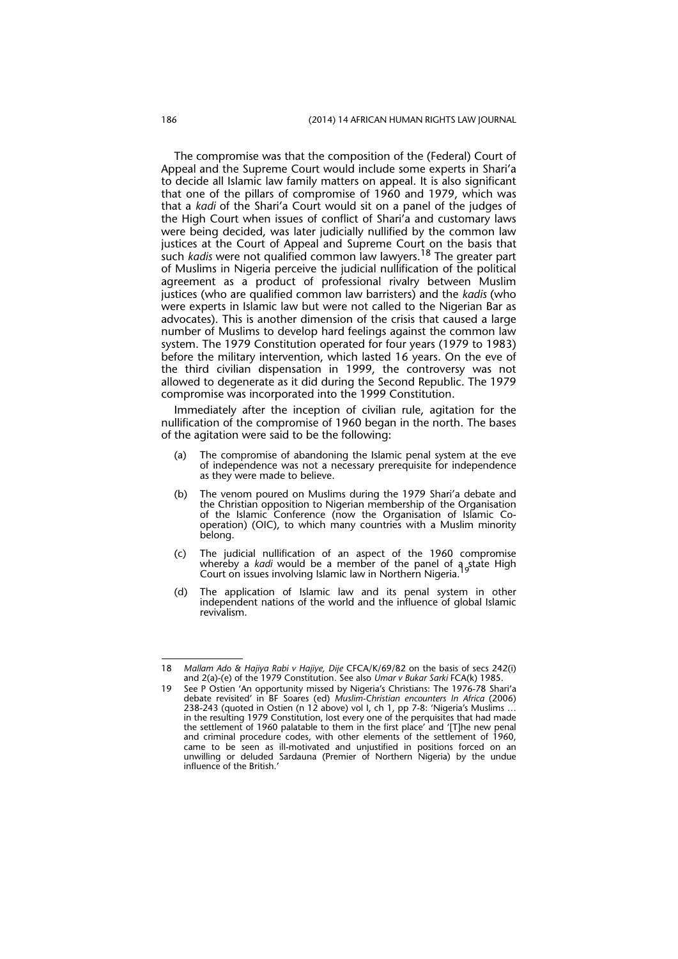The compromise was that the composition of the (Federal) Court of Appeal and the Supreme Court would include some experts in Shari'a to decide all Islamic law family matters on appeal. It is also significant that one of the pillars of compromise of 1960 and 1979, which was that a *kadi* of the Shari'a Court would sit on a panel of the judges of the High Court when issues of conflict of Shari'a and customary laws were being decided, was later judicially nullified by the common law justices at the Court of Appeal and Supreme Court on the basis that such *kadis* were not qualified common law lawyers.18 The greater part of Muslims in Nigeria perceive the judicial nullification of the political agreement as a product of professional rivalry between Muslim justices (who are qualified common law barristers) and the *kadis* (who were experts in Islamic law but were not called to the Nigerian Bar as advocates). This is another dimension of the crisis that caused a large number of Muslims to develop hard feelings against the common law system. The 1979 Constitution operated for four years (1979 to 1983) before the military intervention, which lasted 16 years. On the eve of the third civilian dispensation in 1999, the controversy was not allowed to degenerate as it did during the Second Republic. The 1979 compromise was incorporated into the 1999 Constitution.

Immediately after the inception of civilian rule, agitation for the nullification of the compromise of 1960 began in the north. The bases of the agitation were said to be the following:

- (a) The compromise of abandoning the Islamic penal system at the eve of independence was not a necessary prerequisite for independence as they were made to believe.
- (b) The venom poured on Muslims during the 1979 Shari'a debate and the Christian opposition to Nigerian membership of the Organisation of the Islamic Conference (now the Organisation of Islamic Cooperation) (OIC), to which many countries with a Muslim minority belong.
- (c) The judicial nullification of an aspect of the 1960 compromise whereby a *kadi* would be a member of the panel of a state High Court on issues involving Islamic law in Northern Nigeria.
- (d) The application of Islamic law and its penal system in other independent nations of the world and the influence of global Islamic revivalism.

<sup>18</sup> *Mallam Ado & Hajiya Rabi v Hajiye, Dije* CFCA/K/69/82 on the basis of secs 242(i) and 2(a)-(e) of the 1979 Constitution. See also *Umar v Bukar Sarki* FCA(k) 1985.

<sup>19</sup> See P Ostien 'An opportunity missed by Nigeria's Christians: The 1976-78 Shari'a debate revisited' in BF Soares (ed) *Muslim-Christian encounters In Africa* (2006) 238-243 (quoted in Ostien (n 12 above) vol I, ch 1, pp 7-8: 'Nigeria's Muslims … in the resulting 1979 Constitution, lost every one of the perquisites that had made the settlement of 1960 palatable to them in the first place' and '[T]he new penal and criminal procedure codes, with other elements of the settlement of 1960, came to be seen as ill-motivated and unjustified in positions forced on an unwilling or deluded Sardauna (Premier of Northern Nigeria) by the undue influence of the British.'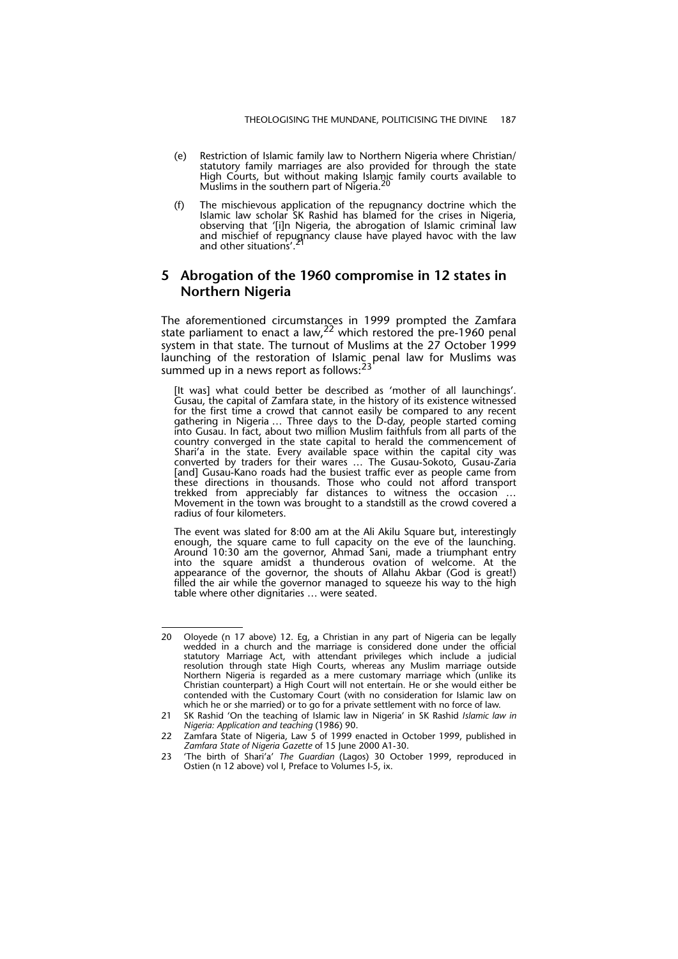- (e) Restriction of Islamic family law to Northern Nigeria where Christian/ statutory family marriages are also provided for through the state High Courts, but without making Islamic family courts available to Muslims in the southern part of Nigeria.
- (f) The mischievous application of the repugnancy doctrine which the Islamic law scholar SK Rashid has blamed for the crises in Nigeria, observing that '[i]n Nigeria, the abrogation of Islamic criminal law and mischief of repugnancy clause have played havoc with the law<br>and other situations'.<sup>21</sup>

#### **5 Abrogation of the 1960 compromise in 12 states in Northern Nigeria**

The aforementioned circumstances in 1999 prompted the Zamfara state parliament to enact a law, 22 which restored the pre-1960 penal system in that state. The turnout of Muslims at the 27 October 1999 launching of the restoration of Islamic penal law for Muslims was summed up in a news report as follows:<sup>23</sup>

[It was] what could better be described as 'mother of all launchings'. Gusau, the capital of Zamfara state, in the history of its existence witnessed for the first time a crowd that cannot easily be compared to any recent gathering in Nigeria … Three days to the D-day, people started coming into Gusau. In fact, about two million Muslim faithfuls from all parts of the country converged in the state capital to herald the commencement of Shari'a in the state. Every available space within the capital city was converted by traders for their wares … The Gusau-Sokoto, Gusau-Zaria [and] Gusau-Kano roads had the busiest traffic ever as people came from these directions in thousands. Those who could not afford transport trekked from appreciably far distances to witness the occasion … Movement in the town was brought to a standstill as the crowd covered a radius of four kilometers.

The event was slated for 8:00 am at the Ali Akilu Square but, interestingly enough, the square came to full capacity on the eve of the launching. Around 10:30 am the governor, Ahmad Sani, made a triumphant entry into the square amidst a thunderous ovation of welcome. At the appearance of the governor, the shouts of Allahu Akbar (God is great!) filled the air while the governor managed to squeeze his way to the high table where other dignitaries … were seated.

<sup>20</sup> Oloyede (n 17 above) 12. Eg, a Christian in any part of Nigeria can be legally wedded in a church and the marriage is considered done under the official statutory Marriage Act, with attendant privileges which include a judicial resolution through state High Courts, whereas any Muslim marriage outside Northern Nigeria is regarded as a mere customary marriage which (unlike its Christian counterpart) a High Court will not entertain. He or she would either be contended with the Customary Court (with no consideration for Islamic law on which he or she married) or to go for a private settlement with no force of law.

<sup>21</sup> SK Rashid 'On the teaching of Islamic law in Nigeria' in SK Rashid *Islamic law in Nigeria: Application and teaching* (1986) 90.

<sup>22</sup> Zamfara State of Nigeria, Law 5 of 1999 enacted in October 1999, published in *Zamfara State of Nigeria Gazette* of 15 June 2000 A1-30.

<sup>23 &#</sup>x27;The birth of Shari'a' *The Guardian* (Lagos) 30 October 1999, reproduced in Ostien (n 12 above) vol I, Preface to Volumes I-5, ix.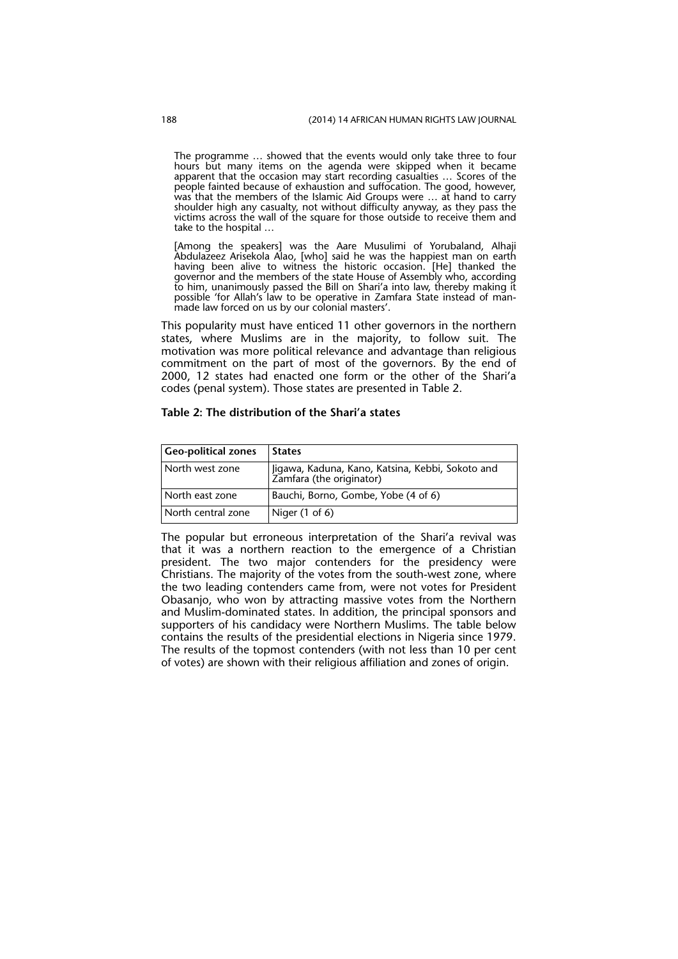The programme … showed that the events would only take three to four hours but many items on the agenda were skipped when it became apparent that the occasion may start recording casualties … Scores of the people fainted because of exhaustion and suffocation. The good, however, was that the members of the Islamic Aid Groups were … at hand to carry shoulder high any casualty, not without difficulty anyway, as they pass the victims across the wall of the square for those outside to receive them and take to the hospital …

[Among the speakers] was the Aare Musulimi of Yorubaland, Alhaji Abdulazeez Arisekola Alao, [who] said he was the happiest man on earth having been alive to witness the historic occasion. [He] thanked the governor and the members of the state House of Assembly who, according to him, unanimously passed the Bill on Shari'a into law, thereby making it possible 'for Allah's law to be operative in Zamfara State instead of manmade law forced on us by our colonial masters'.

This popularity must have enticed 11 other governors in the northern states, where Muslims are in the majority, to follow suit. The motivation was more political relevance and advantage than religious commitment on the part of most of the governors. By the end of 2000, 12 states had enacted one form or the other of the Shari'a codes (penal system). Those states are presented in Table 2.

#### **Table 2: The distribution of the Shari'a states**

| <b>Geo-political zones</b> | <b>States</b>                                                                 |
|----------------------------|-------------------------------------------------------------------------------|
| North west zone            | Iligawa, Kaduna, Kano, Katsina, Kebbi, Sokoto and<br>Zamfara (the originator) |
| North east zone            | Bauchi, Borno, Gombe, Yobe (4 of 6)                                           |
| North central zone         | Niger $(1 \text{ of } 6)$                                                     |

The popular but erroneous interpretation of the Shari'a revival was that it was a northern reaction to the emergence of a Christian president. The two major contenders for the presidency were Christians. The majority of the votes from the south-west zone, where the two leading contenders came from, were not votes for President Obasanjo, who won by attracting massive votes from the Northern and Muslim-dominated states. In addition, the principal sponsors and supporters of his candidacy were Northern Muslims. The table below contains the results of the presidential elections in Nigeria since 1979. The results of the topmost contenders (with not less than 10 per cent of votes) are shown with their religious affiliation and zones of origin.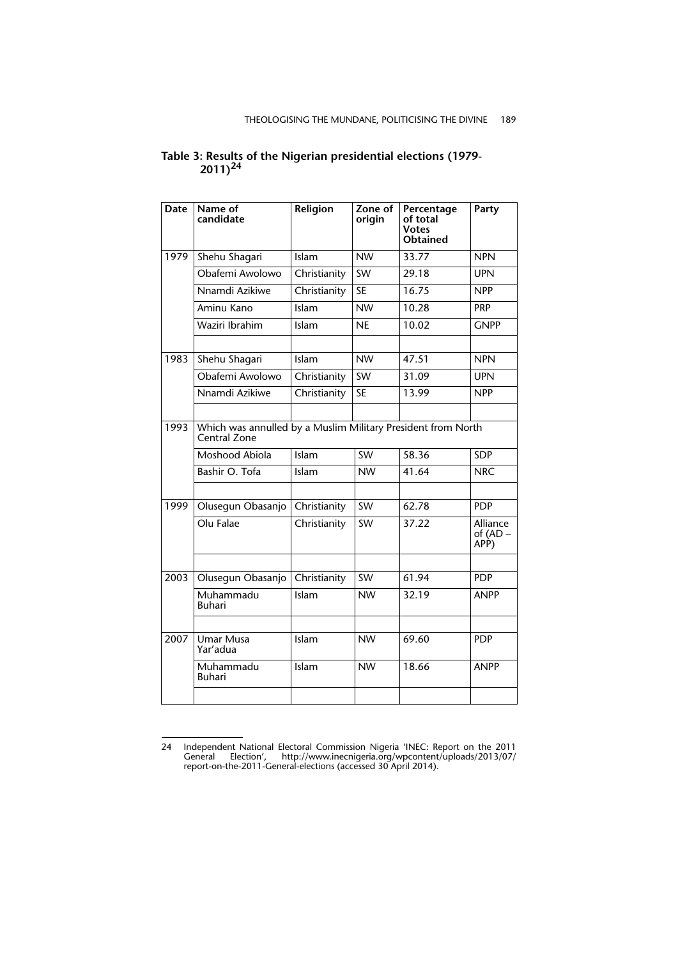| Date | Name of<br>candidate         | Religion                                                     | Zone of<br>origin | Percentage<br>of total<br><b>Votes</b><br><b>Obtained</b> | Party                          |  |  |  |
|------|------------------------------|--------------------------------------------------------------|-------------------|-----------------------------------------------------------|--------------------------------|--|--|--|
| 1979 | Shehu Shagari                | Islam                                                        | <b>NW</b>         | 33.77                                                     | <b>NPN</b>                     |  |  |  |
|      | Obafemi Awolowo              | Christianity                                                 | <b>SW</b>         | 29.18                                                     | <b>UPN</b>                     |  |  |  |
|      | Nnamdi Azikiwe               | Christianity                                                 | <b>SE</b>         | 16.75                                                     | <b>NPP</b>                     |  |  |  |
|      | Aminu Kano                   | Islam                                                        | <b>NW</b>         | 10.28                                                     | <b>PRP</b>                     |  |  |  |
|      | Waziri Ibrahim               | Islam                                                        | <b>NE</b>         | 10.02                                                     | <b>GNPP</b>                    |  |  |  |
| 1983 | Shehu Shagari                | Islam                                                        | <b>NW</b>         | 47.51                                                     | <b>NPN</b>                     |  |  |  |
|      | Obafemi Awolowo              | Christianity                                                 | <b>SW</b>         | 31.09                                                     | <b>UPN</b>                     |  |  |  |
|      | Nnamdi Azikiwe               | Christianity                                                 | <b>SE</b>         | 13.99                                                     | <b>NPP</b>                     |  |  |  |
|      |                              |                                                              |                   |                                                           |                                |  |  |  |
| 1993 | Central Zone                 | Which was annulled by a Muslim Military President from North |                   |                                                           |                                |  |  |  |
|      | Moshood Abiola               | Islam                                                        | <b>SW</b>         | 58.36                                                     | <b>SDP</b>                     |  |  |  |
|      | Bashir O. Tofa               | Islam                                                        | <b>NW</b>         | 41.64                                                     | <b>NRC</b>                     |  |  |  |
| 1999 | Olusegun Obasanjo            | Christianity                                                 | <b>SW</b>         | 62.78                                                     | <b>PDP</b>                     |  |  |  |
|      | Olu Falae                    | Christianity                                                 | <b>SW</b>         | 37.22                                                     | Alliance<br>of $(AD -$<br>APP) |  |  |  |
| 2003 | Olusegun Obasanjo            | Christianity                                                 | <b>SW</b>         | 61.94                                                     | <b>PDP</b>                     |  |  |  |
|      | Muhammadu<br><b>Buhari</b>   | Islam                                                        | <b>NW</b>         | 32.19                                                     | <b>ANPP</b>                    |  |  |  |
|      |                              |                                                              |                   |                                                           |                                |  |  |  |
| 2007 | <b>Umar Musa</b><br>Yar'adua | Islam                                                        | <b>NW</b>         | 69.60                                                     | <b>PDP</b>                     |  |  |  |
|      | Muhammadu<br><b>Buhari</b>   | Islam                                                        | <b>NW</b>         | 18.66                                                     | <b>ANPP</b>                    |  |  |  |
|      |                              |                                                              |                   |                                                           |                                |  |  |  |

#### **Table 3: Results of the Nigerian presidential elections (1979- 2011)<sup>24</sup>**

<sup>24</sup> Independent National Electoral Commission Nigeria 'INEC: Report on the 2011 General Election', http://www.inecnigeria.org/wpcontent/uploads/2013/07/ report-on-the-2011-General-elections (accessed 30 April 2014).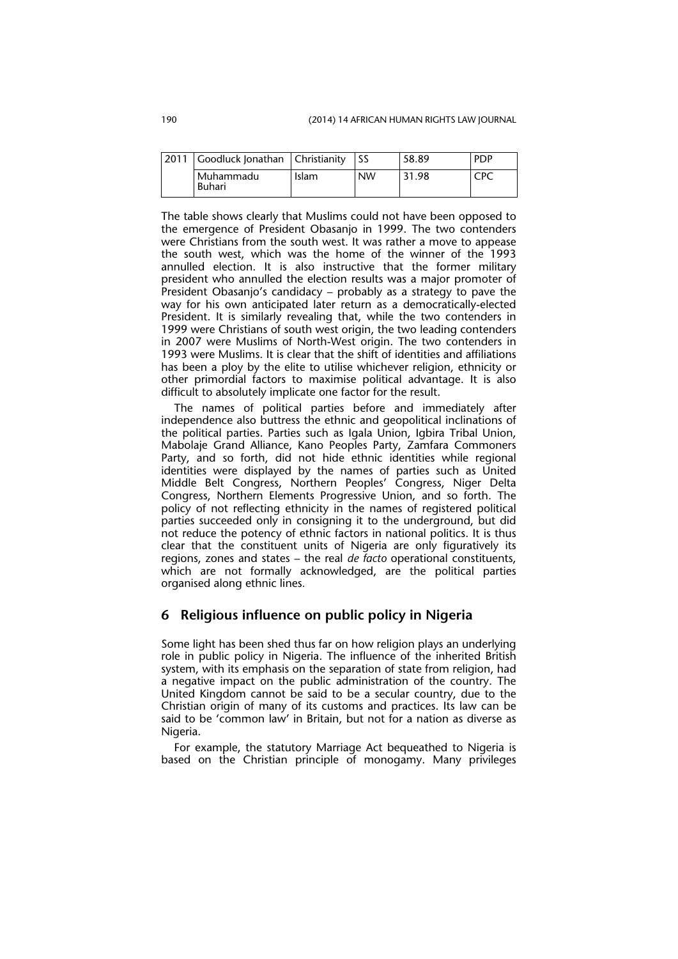| 2011   Goodluck Jonathan   Christianity |       |           | 58.89 | <b>PDP</b> |
|-----------------------------------------|-------|-----------|-------|------------|
| I Muhammadu<br><b>Buhari</b>            | Islam | <b>NW</b> | 31.98 | CPC        |

The table shows clearly that Muslims could not have been opposed to the emergence of President Obasanjo in 1999. The two contenders were Christians from the south west. It was rather a move to appease the south west, which was the home of the winner of the 1993 annulled election. It is also instructive that the former military president who annulled the election results was a major promoter of President Obasanjo's candidacy – probably as a strategy to pave the way for his own anticipated later return as a democratically-elected President. It is similarly revealing that, while the two contenders in 1999 were Christians of south west origin, the two leading contenders in 2007 were Muslims of North-West origin. The two contenders in 1993 were Muslims. It is clear that the shift of identities and affiliations has been a ploy by the elite to utilise whichever religion, ethnicity or other primordial factors to maximise political advantage. It is also difficult to absolutely implicate one factor for the result.

The names of political parties before and immediately after independence also buttress the ethnic and geopolitical inclinations of the political parties. Parties such as Igala Union, Igbira Tribal Union, Mabolaje Grand Alliance, Kano Peoples Party, Zamfara Commoners Party, and so forth, did not hide ethnic identities while regional identities were displayed by the names of parties such as United Middle Belt Congress, Northern Peoples' Congress, Niger Delta Congress, Northern Elements Progressive Union, and so forth. The policy of not reflecting ethnicity in the names of registered political parties succeeded only in consigning it to the underground, but did not reduce the potency of ethnic factors in national politics. It is thus clear that the constituent units of Nigeria are only figuratively its regions, zones and states – the real *de facto* operational constituents, which are not formally acknowledged, are the political parties organised along ethnic lines*.*

#### **6 Religious influence on public policy in Nigeria**

Some light has been shed thus far on how religion plays an underlying role in public policy in Nigeria. The influence of the inherited British system, with its emphasis on the separation of state from religion, had a negative impact on the public administration of the country. The United Kingdom cannot be said to be a secular country, due to the Christian origin of many of its customs and practices. Its law can be said to be 'common law' in Britain, but not for a nation as diverse as Nigeria.

For example, the statutory Marriage Act bequeathed to Nigeria is based on the Christian principle of monogamy. Many privileges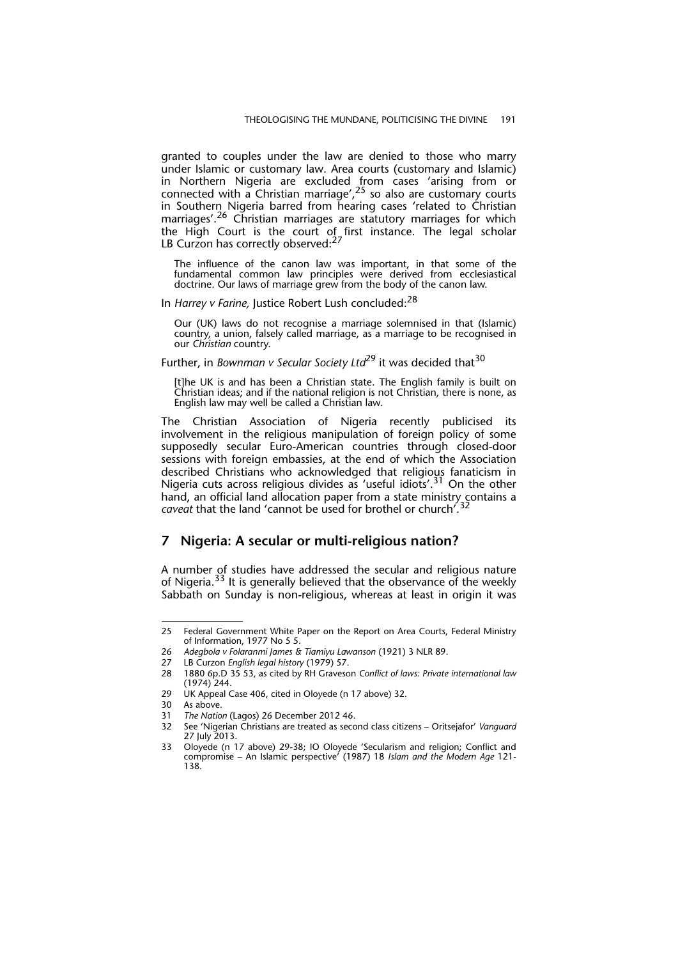granted to couples under the law are denied to those who marry under Islamic or customary law. Area courts (customary and Islamic) in Northern Nigeria are excluded from cases 'arising from or connected with a Christian marriage',  $2^5$  so also are customary courts in Southern Nigeria barred from hearing cases 'related to Christian marriages'.26 Christian marriages are statutory marriages for which the High Court is the court of first instance. The legal scholar LB Curzon has correctly observed:<sup>27</sup>

The influence of the canon law was important, in that some of the fundamental common law principles were derived from ecclesiastical doctrine. Our laws of marriage grew from the body of the canon law.

In *Harrey v Farine,* Justice Robert Lush concluded:28

Our (UK) laws do not recognise a marriage solemnised in that (Islamic) country, a union, falsely called marriage, as a marriage to be recognised in our *Christian* country.

#### Further, in *Bownman v Secular Society Ltd*<sup>29</sup> it was decided that<sup>30</sup>

[t]he UK is and has been a Christian state. The English family is built on Christian ideas; and if the national religion is not Christian, there is none, as English law may well be called a Christian law.

The Christian Association of Nigeria recently publicised its involvement in the religious manipulation of foreign policy of some supposedly secular Euro-American countries through closed-door sessions with foreign embassies, at the end of which the Association described Christians who acknowledged that religious fanaticism in Nigeria cuts across religious divides as 'useful idiots'.31 On the other hand, an official land allocation paper from a state ministry contains a *caveat* that the land 'cannot be used for brothel or church'.32

#### **7 Nigeria: A secular or multi-religious nation?**

A number of studies have addressed the secular and religious nature of Nigeria.<sup>33</sup> It is generally believed that the observance of the weekly Sabbath on Sunday is non-religious, whereas at least in origin it was

<sup>25</sup> Federal Government White Paper on the Report on Area Courts, Federal Ministry of Information, 1977 No 5 5.

<sup>26</sup> *Adegbola v Folaranmi James & Tiamiyu Lawanson* (1921) 3 NLR 89.

<sup>27</sup> LB Curzon *English legal history* (1979) 57.

<sup>28 1880 6</sup>p.D 35 53, as cited by RH Graveson *Conflict of laws: Private international law* (1974) 244.

<sup>29</sup> UK Appeal Case 406, cited in Oloyede (n 17 above) 32.

<sup>30</sup> As above.

<sup>31</sup> *The Nation* (Lagos) 26 December 2012 46.

<sup>32</sup> See 'Nigerian Christians are treated as second class citizens – Oritsejafor' *Vanguard* 27 July 2013.

<sup>33</sup> Oloyede (n 17 above) 29-38; IO Oloyede 'Secularism and religion; Conflict and compromise – An Islamic perspective' (1987) 18 *Islam and the Modern Age* 121- 138.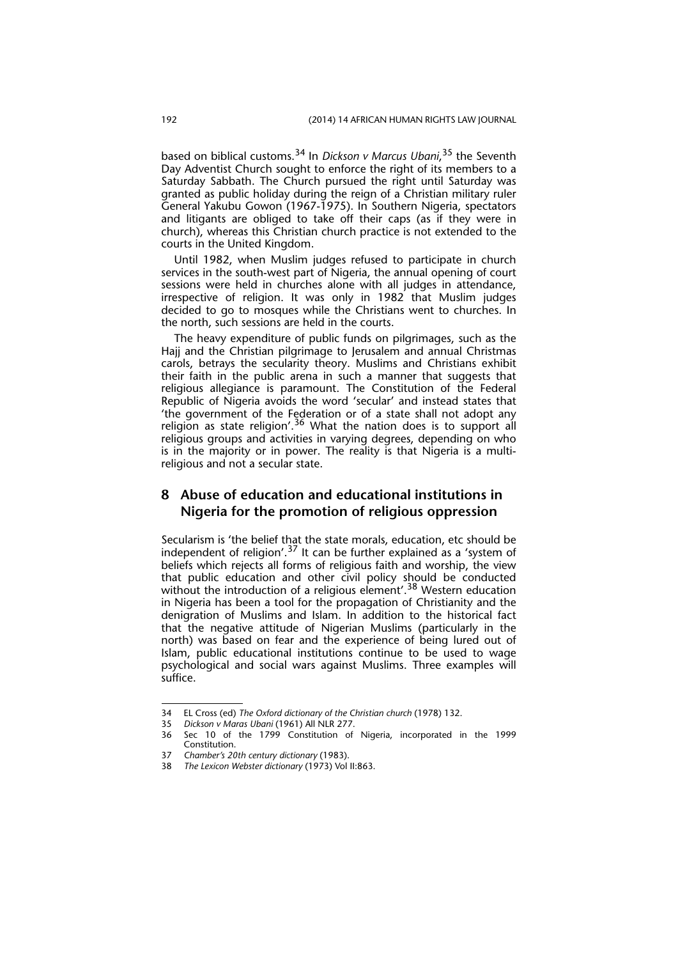based on biblical customs.34 In *Dickson v Marcus Ubani*, 35 the Seventh Day Adventist Church sought to enforce the right of its members to a Saturday Sabbath. The Church pursued the right until Saturday was granted as public holiday during the reign of a Christian military ruler General Yakubu Gowon (1967-1975). In Southern Nigeria, spectators and litigants are obliged to take off their caps (as if they were in church), whereas this Christian church practice is not extended to the courts in the United Kingdom.

Until 1982, when Muslim judges refused to participate in church services in the south-west part of Nigeria, the annual opening of court sessions were held in churches alone with all judges in attendance, irrespective of religion. It was only in 1982 that Muslim judges decided to go to mosques while the Christians went to churches. In the north, such sessions are held in the courts.

The heavy expenditure of public funds on pilgrimages, such as the Hajj and the Christian pilgrimage to Jerusalem and annual Christmas carols, betrays the secularity theory. Muslims and Christians exhibit their faith in the public arena in such a manner that suggests that religious allegiance is paramount. The Constitution of the Federal Republic of Nigeria avoids the word 'secular' and instead states that 'the government of the Federation or of a state shall not adopt any religion as state religion'.<sup>36</sup> What the nation does is to support all religious groups and activities in varying degrees, depending on who is in the majority or in power. The reality is that Nigeria is a multireligious and not a secular state.

### **8 Abuse of education and educational institutions in Nigeria for the promotion of religious oppression**

Secularism is 'the belief that the state morals, education, etc should be independent of religion'.<sup>37</sup> It can be further explained as a 'system of beliefs which rejects all forms of religious faith and worship, the view that public education and other civil policy should be conducted without the introduction of a religious element'.<sup>38</sup> Western education in Nigeria has been a tool for the propagation of Christianity and the denigration of Muslims and Islam. In addition to the historical fact that the negative attitude of Nigerian Muslims (particularly in the north) was based on fear and the experience of being lured out of Islam, public educational institutions continue to be used to wage psychological and social wars against Muslims. Three examples will suffice.

<sup>34</sup> EL Cross (ed) *The Oxford dictionary of the Christian church* (1978) 132.

<sup>35</sup> *Dickson v Maras Ubani* (1961) All NLR 277.

<sup>36</sup> Sec 10 of the 1799 Constitution of Nigeria, incorporated in the 1999 Constitution.

<sup>37</sup> *Chamber's 20th century dictionary* (1983).

<sup>38</sup> *The Lexicon Webster dictionary* (1973) Vol II:863.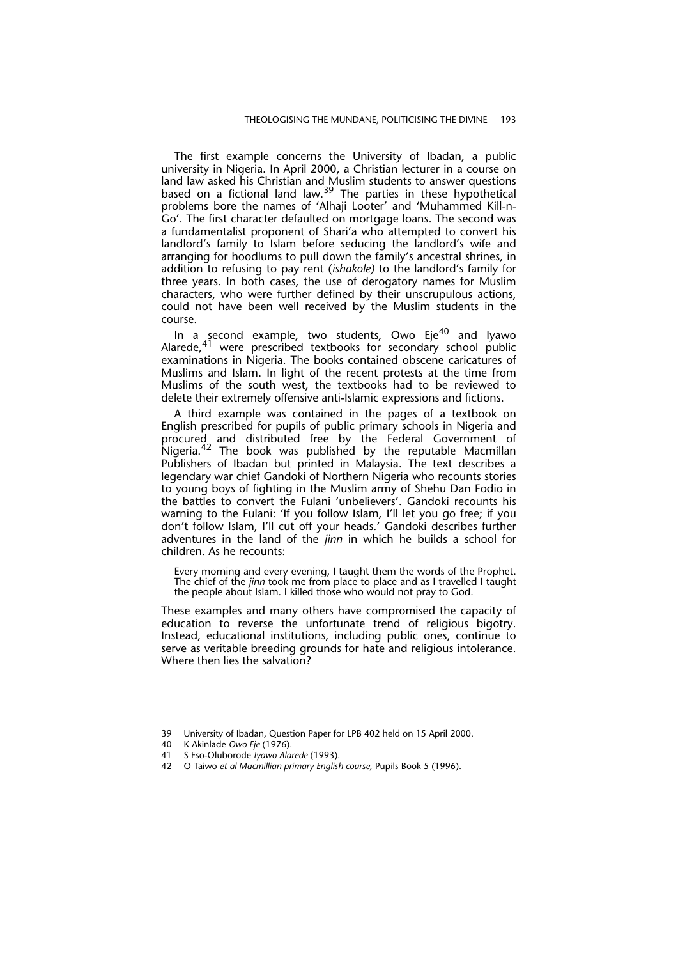The first example concerns the University of Ibadan, a public university in Nigeria. In April 2000, a Christian lecturer in a course on land law asked his Christian and Muslim students to answer questions based on a fictional land law.<sup>39</sup> The parties in these hypothetical problems bore the names of 'Alhaji Looter' and 'Muhammed Kill-n-Go'. The first character defaulted on mortgage loans. The second was a fundamentalist proponent of Shari'a who attempted to convert his landlord's family to Islam before seducing the landlord's wife and arranging for hoodlums to pull down the family's ancestral shrines, in addition to refusing to pay rent (*ishakole)* to the landlord's family for three years. In both cases, the use of derogatory names for Muslim characters, who were further defined by their unscrupulous actions, could not have been well received by the Muslim students in the course.

In a second example, two students, Owo Eje<sup>40</sup> and Iyawo Alarede,<sup>41</sup> were prescribed textbooks for secondary school public examinations in Nigeria. The books contained obscene caricatures of Muslims and Islam. In light of the recent protests at the time from Muslims of the south west, the textbooks had to be reviewed to delete their extremely offensive anti-Islamic expressions and fictions.

A third example was contained in the pages of a textbook on English prescribed for pupils of public primary schools in Nigeria and procured and distributed free by the Federal Government of Diocured and distributed tice by the reputable Macmillan Publishers of Ibadan but printed in Malaysia. The text describes a legendary war chief Gandoki of Northern Nigeria who recounts stories to young boys of fighting in the Muslim army of Shehu Dan Fodio in the battles to convert the Fulani 'unbelievers'. Gandoki recounts his warning to the Fulani: 'If you follow Islam, I'll let you go free; if you don't follow Islam, I'll cut off your heads.' Gandoki describes further adventures in the land of the *jinn* in which he builds a school for children. As he recounts:

Every morning and every evening, I taught them the words of the Prophet. The chief of the *jinn* took me from place to place and as I travelled I taught the people about Islam. I killed those who would not pray to God.

These examples and many others have compromised the capacity of education to reverse the unfortunate trend of religious bigotry. Instead, educational institutions, including public ones, continue to serve as veritable breeding grounds for hate and religious intolerance. Where then lies the salvation?

<sup>39</sup> University of Ibadan, Question Paper for LPB 402 held on 15 April 2000.

<sup>40</sup> K Akinlade *Owo Eje* (1976).

<sup>41</sup> S Eso-Oluborode *Iyawo Alarede* (1993).

<sup>42</sup> O Taiwo *et al Macmillian primary English course,* Pupils Book 5 (1996).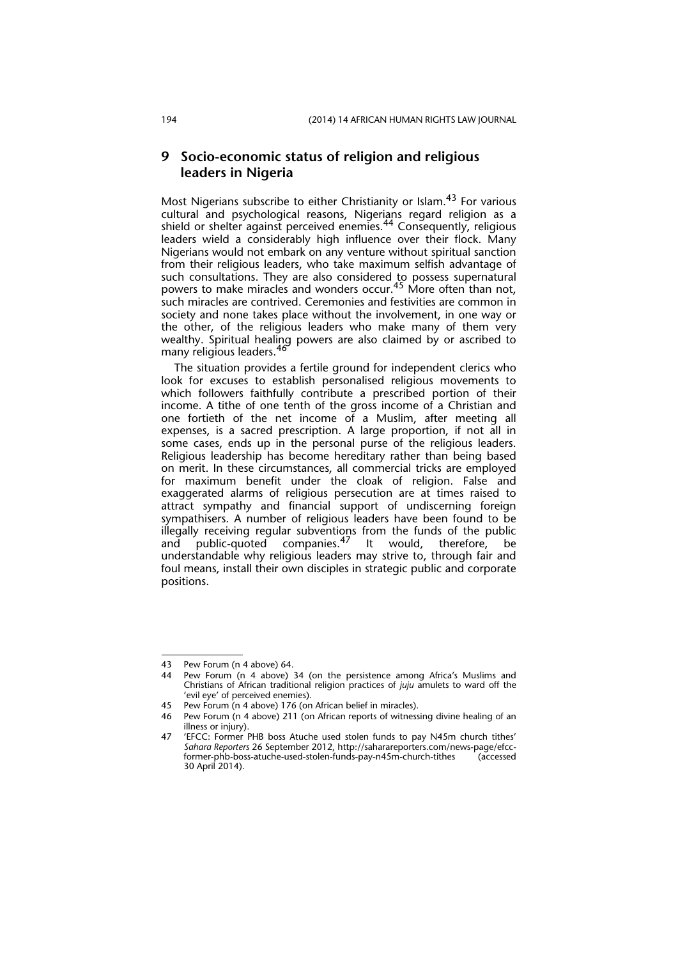#### **9 Socio-economic status of religion and religious leaders in Nigeria**

Most Nigerians subscribe to either Christianity or Islam.<sup>43</sup> For various cultural and psychological reasons, Nigerians regard religion as a shield or shelter against perceived enemies.<sup>44</sup> Consequently, religious leaders wield a considerably high influence over their flock. Many Nigerians would not embark on any venture without spiritual sanction from their religious leaders, who take maximum selfish advantage of such consultations. They are also considered to possess supernatural powers to make miracles and wonders occur.<sup>45</sup> More often than not, such miracles are contrived. Ceremonies and festivities are common in society and none takes place without the involvement, in one way or the other, of the religious leaders who make many of them very wealthy. Spiritual healing powers are also claimed by or ascribed to many religious leaders. <sup>46</sup>

The situation provides a fertile ground for independent clerics who look for excuses to establish personalised religious movements to which followers faithfully contribute a prescribed portion of their income. A tithe of one tenth of the gross income of a Christian and one fortieth of the net income of a Muslim, after meeting all expenses, is a sacred prescription. A large proportion, if not all in some cases, ends up in the personal purse of the religious leaders. Religious leadership has become hereditary rather than being based on merit. In these circumstances, all commercial tricks are employed for maximum benefit under the cloak of religion. False and exaggerated alarms of religious persecution are at times raised to attract sympathy and financial support of undiscerning foreign sympathisers. A number of religious leaders have been found to be illegally receiving regular subventions from the funds of the public and public-quoted companies.<sup>47</sup> It would, therefore, be understandable why religious leaders may strive to, through fair and foul means, install their own disciples in strategic public and corporate positions.

<sup>43</sup> Pew Forum (n 4 above) 64.

<sup>44</sup> Pew Forum (n 4 above) 34 (on the persistence among Africa's Muslims and Christians of African traditional religion practices of *juju* amulets to ward off the 'evil eye' of perceived enemies).

<sup>45</sup> Pew Forum (n 4 above) 176 (on African belief in miracles).

<sup>46</sup> Pew Forum (n 4 above) 211 (on African reports of witnessing divine healing of an illness or injury).

<sup>47 &#</sup>x27;EFCC: Former PHB boss Atuche used stolen funds to pay N45m church tithes' *Sahara Reporters* 26 September 2012, http://saharareporters.com/news-page/efccformer-phb-boss-atuche-used-stolen-funds-pay-n45m-church-tithes (accessed 30 April 2014).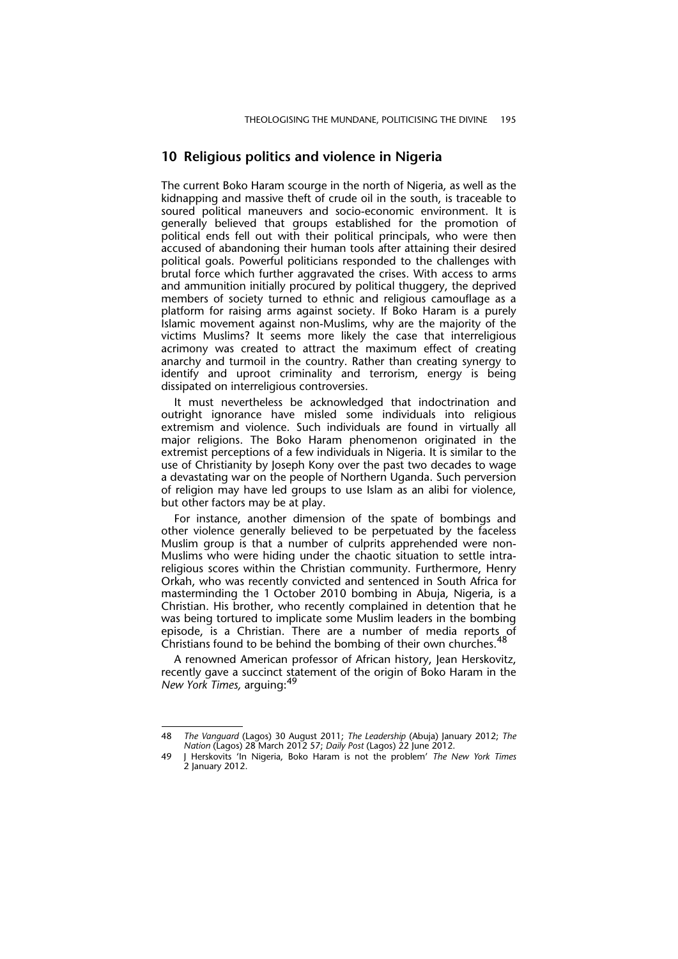#### **10 Religious politics and violence in Nigeria**

The current Boko Haram scourge in the north of Nigeria, as well as the kidnapping and massive theft of crude oil in the south, is traceable to soured political maneuvers and socio-economic environment. It is generally believed that groups established for the promotion of political ends fell out with their political principals, who were then accused of abandoning their human tools after attaining their desired political goals. Powerful politicians responded to the challenges with brutal force which further aggravated the crises. With access to arms and ammunition initially procured by political thuggery, the deprived members of society turned to ethnic and religious camouflage as a platform for raising arms against society. If Boko Haram is a purely Islamic movement against non-Muslims, why are the majority of the victims Muslims? It seems more likely the case that interreligious acrimony was created to attract the maximum effect of creating anarchy and turmoil in the country. Rather than creating synergy to identify and uproot criminality and terrorism, energy is being dissipated on interreligious controversies.

It must nevertheless be acknowledged that indoctrination and outright ignorance have misled some individuals into religious extremism and violence. Such individuals are found in virtually all major religions. The Boko Haram phenomenon originated in the extremist perceptions of a few individuals in Nigeria. It is similar to the use of Christianity by Joseph Kony over the past two decades to wage a devastating war on the people of Northern Uganda. Such perversion of religion may have led groups to use Islam as an alibi for violence, but other factors may be at play.

For instance, another dimension of the spate of bombings and other violence generally believed to be perpetuated by the faceless Muslim group is that a number of culprits apprehended were non-Muslims who were hiding under the chaotic situation to settle intrareligious scores within the Christian community. Furthermore, Henry Orkah, who was recently convicted and sentenced in South Africa for masterminding the 1 October 2010 bombing in Abuja, Nigeria, is a Christian. His brother, who recently complained in detention that he was being tortured to implicate some Muslim leaders in the bombing episode, is a Christian. There are a number of media reports of Christians found to be behind the bombing of their own churches.<sup>48</sup>

A renowned American professor of African history, Jean Herskovitz, recently gave a succinct statement of the origin of Boko Haram in the *New York Times,* arguing:<sup>49</sup>

<sup>48</sup> *The Vanguard* (Lagos) 30 August 2011; *The Leadership* (Abuja) January 2012; *The Nation* (Lagos) 28 March 2012 57; *Daily Post* (Lagos) 22 June 2012.

<sup>49</sup> J Herskovits 'In Nigeria, Boko Haram is not the problem' *The New York Times* 2 January 2012.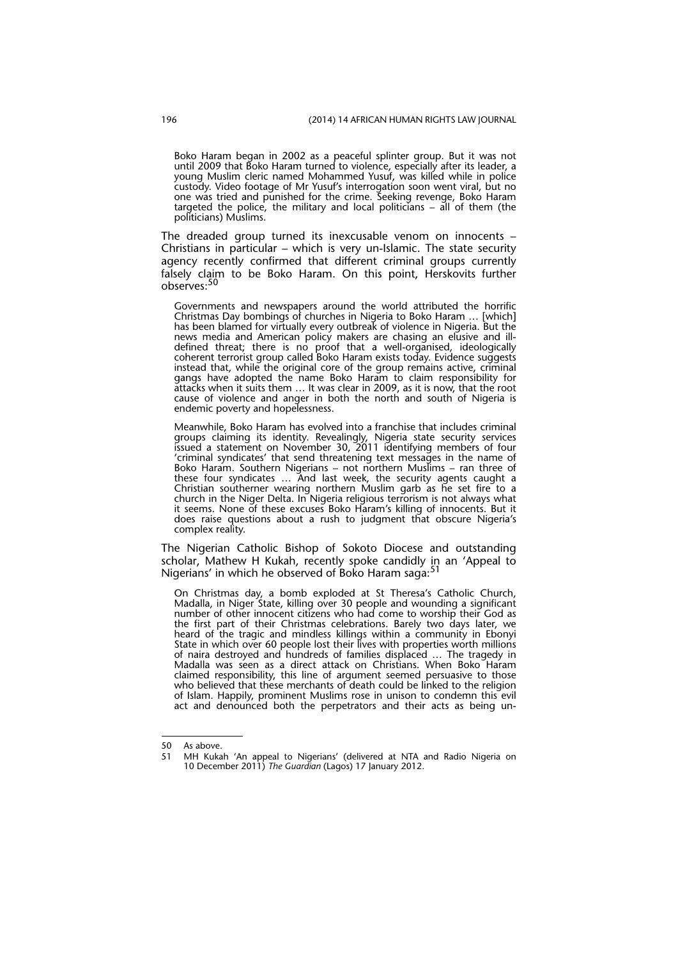Boko Haram began in 2002 as a peaceful splinter group. But it was not until 2009 that Boko Haram turned to violence, especially after its leader, a young Muslim cleric named Mohammed Yusuf, was killed while in police custody. Video footage of Mr Yusuf's interrogation soon went viral, but no one was tried and punished for the crime. Seeking revenge, Boko Haram targeted the police, the military and local politicians – all of them (the politicians) Muslims.

The dreaded group turned its inexcusable venom on innocents – Christians in particular – which is very un-Islamic. The state security agency recently confirmed that different criminal groups currently falsely claim to be Boko Haram. On this point, Herskovits further observes:<sup>50</sup>

Governments and newspapers around the world attributed the horrific Christmas Day bombings of churches in Nigeria to Boko Haram … [which] has been blamed for virtually every outbreak of violence in Nigeria. But the news media and American policy makers are chasing an elusive and illdefined threat; there is no proof that a well-organised, ideologically coherent terrorist group called Boko Haram exists today. Evidence suggests instead that, while the original core of the group remains active, criminal gangs have adopted the name Boko Haram to claim responsibility for attacks when it suits them … It was clear in 2009, as it is now, that the root cause of violence and anger in both the north and south of Nigeria is endemic poverty and hopelessness.

Meanwhile, Boko Haram has evolved into a franchise that includes criminal groups claiming its identity. Revealingly, Nigeria state security services issued a statement on November 30, 2011 identifying members of four 'criminal syndicates' that send threatening text messages in the name of Boko Haram. Southern Nigerians – not northern Muslims – ran three of these four syndicates … And last week, the security agents caught a Christian southerner wearing northern Muslim garb as he set fire to a church in the Niger Delta. In Nigeria religious terrorism is not always what it seems. None of these excuses Boko Haram's killing of innocents. But it does raise questions about a rush to judgment that obscure Nigeria's complex reality.

The Nigerian Catholic Bishop of Sokoto Diocese and outstanding scholar, Mathew H Kukah, recently spoke candidly in an 'Appeal to Nigerians' in which he observed of Boko Haram saga:<sup>51</sup>

On Christmas day, a bomb exploded at St Theresa's Catholic Church, Madalla, in Niger State, killing over 30 people and wounding a significant number of other innocent citizens who had come to worship their God as the first part of their Christmas celebrations. Barely two days later, we heard of the tragic and mindless killings within a community in Ebonyi State in which over 60 people lost their lives with properties worth millions of naira destroyed and hundreds of families displaced … The tragedy in Madalla was seen as a direct attack on Christians. When Boko Haram claimed responsibility, this line of argument seemed persuasive to those who believed that these merchants of death could be linked to the religion of Islam. Happily, prominent Muslims rose in unison to condemn this evil act and denounced both the perpetrators and their acts as being un-

<sup>50</sup> As above.

<sup>51</sup> MH Kukah 'An appeal to Nigerians' (delivered at NTA and Radio Nigeria on 10 December 2011) *The Guardian* (Lagos) 17 January 2012.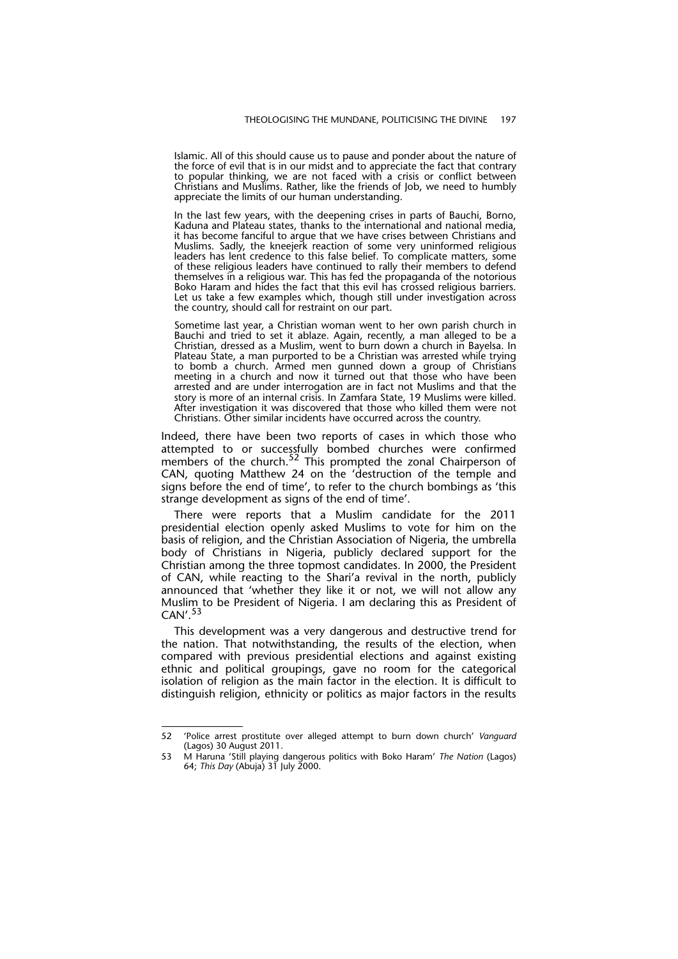Islamic. All of this should cause us to pause and ponder about the nature of the force of evil that is in our midst and to appreciate the fact that contrary to popular thinking, we are not faced with a crisis or conflict between Christians and Muslims. Rather, like the friends of Job, we need to humbly appreciate the limits of our human understanding.

In the last few years, with the deepening crises in parts of Bauchi, Borno, Kaduna and Plateau states, thanks to the international and national media, it has become fanciful to argue that we have crises between Christians and Muslims. Sadly, the kneejerk reaction of some very uninformed religious leaders has lent credence to this false belief. To complicate matters, some of these religious leaders have continued to rally their members to defend themselves in a religious war. This has fed the propaganda of the notorious Boko Haram and hides the fact that this evil has crossed religious barriers. Let us take a few examples which, though still under investigation across the country, should call for restraint on our part.

Sometime last year, a Christian woman went to her own parish church in Bauchi and tried to set it ablaze. Again, recently, a man alleged to be a Christian, dressed as a Muslim, went to burn down a church in Bayelsa. In Plateau State, a man purported to be a Christian was arrested while trying to bomb a church. Armed men gunned down a group of Christians meeting in a church and now it turned out that those who have been arrested and are under interrogation are in fact not Muslims and that the story is more of an internal crisis. In Zamfara State, 19 Muslims were killed. After investigation it was discovered that those who killed them were not Christians. Other similar incidents have occurred across the country.

Indeed, there have been two reports of cases in which those who attempted to or successfully bombed churches were confirmed members of the church.<sup>52</sup> This prompted the zonal Chairperson of CAN, quoting Matthew 24 on the 'destruction of the temple and signs before the end of time', to refer to the church bombings as 'this strange development as signs of the end of time'.

There were reports that a Muslim candidate for the 2011 presidential election openly asked Muslims to vote for him on the basis of religion, and the Christian Association of Nigeria, the umbrella body of Christians in Nigeria, publicly declared support for the Christian among the three topmost candidates. In 2000, the President of CAN, while reacting to the Shari'a revival in the north, publicly announced that 'whether they like it or not, we will not allow any Muslim to be President of Nigeria. I am declaring this as President of CAN'.<sup>53</sup>

This development was a very dangerous and destructive trend for the nation. That notwithstanding, the results of the election, when compared with previous presidential elections and against existing ethnic and political groupings, gave no room for the categorical isolation of religion as the main factor in the election. It is difficult to distinguish religion, ethnicity or politics as major factors in the results

<sup>52 &#</sup>x27;Police arrest prostitute over alleged attempt to burn down church' *Vanguard* (Lagos) 30 August 2011.

<sup>53</sup> M Haruna 'Still playing dangerous politics with Boko Haram' *The Nation* (Lagos) 64; *This Day* (Abuja) 31 July 2000.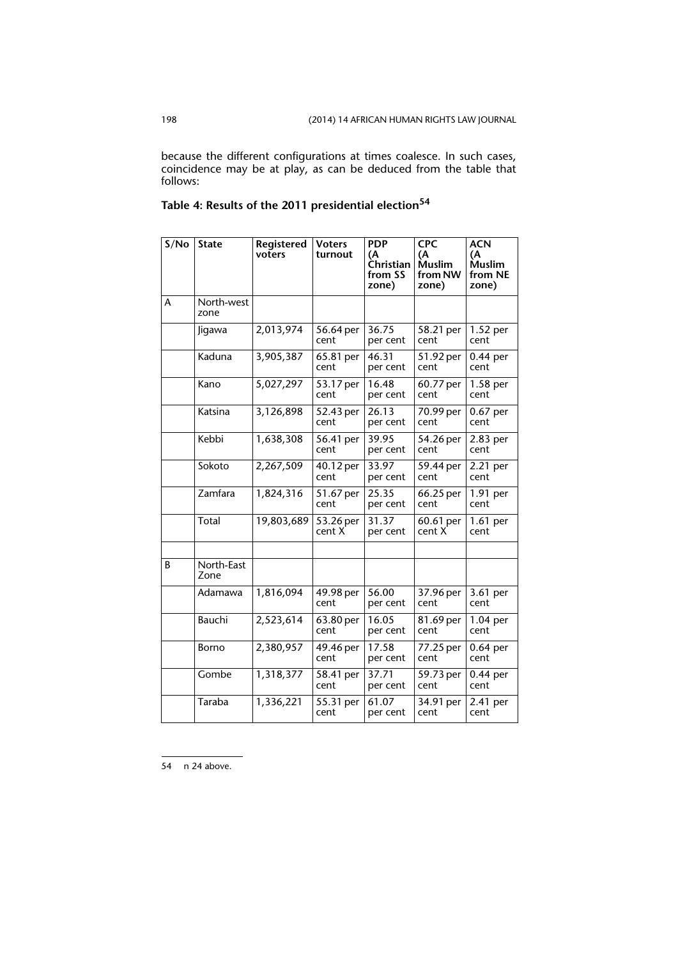because the different configurations at times coalesce. In such cases, coincidence may be at play, as can be deduced from the table that follows:

| S/No | <b>State</b>       | Registered<br>voters | <b>Voters</b><br>turnout | <b>PDP</b><br>(A<br>Christian<br>from SS<br>zone) | <b>CPC</b><br>(A<br><b>Muslim</b><br>from NW<br>zone) | <b>ACN</b><br>(A<br><b>Muslim</b><br>from NE<br>zone) |
|------|--------------------|----------------------|--------------------------|---------------------------------------------------|-------------------------------------------------------|-------------------------------------------------------|
| А    | North-west<br>zone |                      |                          |                                                   |                                                       |                                                       |
|      | Jigawa             | 2,013,974            | 56.64 per<br>cent        | 36.75<br>per cent                                 | 58.21 per<br>cent                                     | $1.52$ per<br>cent                                    |
|      | Kaduna             | 3,905,387            | 65.81 per<br>cent        | 46.31<br>per cent                                 | 51.92 per<br>cent                                     | 0.44 per<br>cent                                      |
|      | Kano               | 5,027,297            | 53.17 per<br>cent        | 16.48<br>per cent                                 | 60.77 per<br>cent                                     | $1.58$ per<br>cent                                    |
|      | Katsina            | 3,126,898            | 52.43 per<br>cent        | 26.13<br>per cent                                 | 70.99 per<br>cent                                     | $0.67$ per<br>cent                                    |
|      | Kebbi              | 1,638,308            | 56.41 per<br>cent        | 39.95<br>per cent                                 | 54.26 per<br>cent                                     | 2.83 per<br>cent                                      |
|      | Sokoto             | 2,267,509            | 40.12 per<br>cent        | 33.97<br>per cent                                 | 59.44 per<br>cent                                     | 2.21 per<br>cent                                      |
|      | Zamfara            | 1,824,316            | 51.67 per<br>cent        | 25.35<br>per cent                                 | 66.25 per<br>cent                                     | 1.91 per<br>cent                                      |
|      | Total              | 19,803,689           | 53.26 per<br>cent X      | 31.37<br>per cent                                 | 60.61 per<br>cent X                                   | 1.61 per<br>cent                                      |
| B    | North-East<br>Zone |                      |                          |                                                   |                                                       |                                                       |
|      | Adamawa            | 1,816,094            | 49.98 per<br>cent        | 56.00<br>per cent                                 | 37.96 per<br>cent                                     | 3.61 per<br>cent                                      |
|      | Bauchi             | 2,523,614            | 63.80 per<br>cent        | 16.05<br>per cent                                 | 81.69 per<br>cent                                     | $1.04$ per<br>cent                                    |
|      | Borno              | 2,380,957            | 49.46 per<br>cent        | 17.58<br>per cent                                 | 77.25 per<br>cent                                     | 0.64 per<br>cent                                      |
|      | Gombe              | 1,318,377            | 58.41 per<br>cent        | 37.71<br>per cent                                 | 59.73 per<br>cent                                     | 0.44 per<br>cent                                      |
|      | Taraba             | 1,336,221            | 55.31 per<br>cent        | 61.07<br>per cent                                 | 34.91 per<br>cent                                     | 2.41 per<br>cent                                      |

**Table 4: Results of the 2011 presidential election<sup>54</sup>**

54 n 24 above.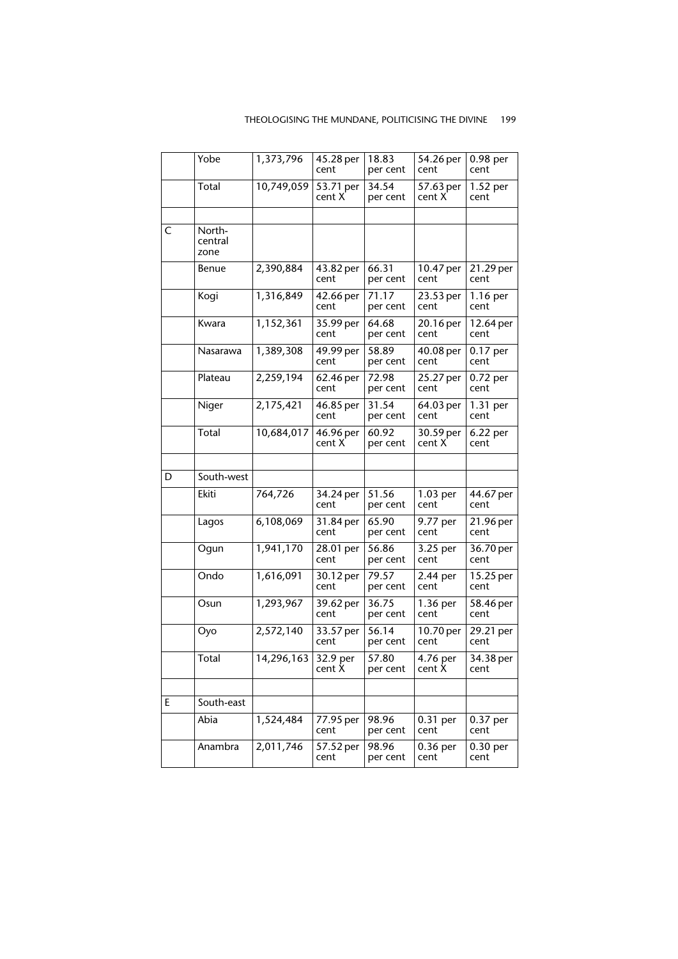#### THEOLOGISING THE MUNDANE, POLITICISING THE DIVINE 199

|   | Yobe                      | 1,373,796  | 45.28 per<br>cent   | 18.83<br>per cent | 54.26 per<br>cent   | $0.98$ per<br>cent |
|---|---------------------------|------------|---------------------|-------------------|---------------------|--------------------|
|   | Total                     | 10,749,059 | 53.71 per<br>cent X | 34.54<br>per cent | 57.63 per<br>cent X | 1.52 per<br>cent   |
|   |                           |            |                     |                   |                     |                    |
| C | North-<br>central<br>zone |            |                     |                   |                     |                    |
|   | Benue                     | 2,390,884  | 43.82 per<br>cent   | 66.31<br>per cent | 10.47 per<br>cent   | 21.29 per<br>cent  |
|   | Kogi                      | 1,316,849  | 42.66 per<br>cent   | 71.17<br>per cent | 23.53 per<br>cent   | 1.16 per<br>cent   |
|   | Kwara                     | 1,152,361  | 35.99 per<br>cent   | 64.68<br>per cent | 20.16 per<br>cent   | 12.64 per<br>cent  |
|   | Nasarawa                  | 1,389,308  | 49.99 per<br>cent   | 58.89<br>per cent | 40.08 per<br>cent   | 0.17 per<br>cent   |
|   | Plateau                   | 2,259,194  | 62.46 per<br>cent   | 72.98<br>per cent | 25.27 per<br>cent   | 0.72 per<br>cent   |
|   | Niger                     | 2,175,421  | 46.85 per<br>cent   | 31.54<br>per cent | 64.03 per<br>cent   | 1.31 per<br>cent   |
|   | Total                     | 10,684,017 | 46.96 per<br>cent X | 60.92<br>per cent | 30.59 per<br>cent X | 6.22 per<br>cent   |
|   |                           |            |                     |                   |                     |                    |
| D | South-west                |            |                     |                   |                     |                    |
|   | <b>Ekiti</b>              | 764,726    | 34.24 per<br>cent   | 51.56<br>per cent | $1.03$ per<br>cent  | 44.67 per<br>cent  |
|   | Lagos                     | 6,108,069  | 31.84 per<br>cent   | 65.90<br>per cent | 9.77 per<br>cent    | 21.96 per<br>cent  |
|   | Ogun                      | 1,941,170  | 28.01 per<br>cent   | 56.86<br>per cent | 3.25 per<br>cent    | 36.70 per<br>cent  |
|   | Ondo                      | 1,616,091  | 30.12 per<br>cent   | 79.57<br>per cent | 2.44 per<br>cent    | 15.25 per<br>cent  |
|   | Osun                      | 1,293,967  | 39.62 per<br>cent   | 36.75<br>per cent | 1.36 per<br>cent    | 58.46 per<br>cent  |
|   | Oyo                       | 2,572,140  | 33.57 per<br>cent   | 56.14<br>per cent | 10.70 per<br>cent   | 29.21 per<br>cent  |
|   | Total                     | 14,296,163 | 32.9 per<br>cent X  | 57.80<br>per cent | 4.76 per<br>cent X  | 34.38 per<br>cent  |
|   |                           |            |                     |                   |                     |                    |
| E | South-east                |            |                     |                   |                     |                    |
|   | Abia                      | 1,524,484  | 77.95 per<br>cent   | 98.96<br>per cent | 0.31 per<br>cent    | 0.37 per<br>cent   |
|   | Anambra                   | 2,011,746  | 57.52 per<br>cent   | 98.96<br>per cent | $0.36$ per<br>cent  | 0.30 per<br>cent   |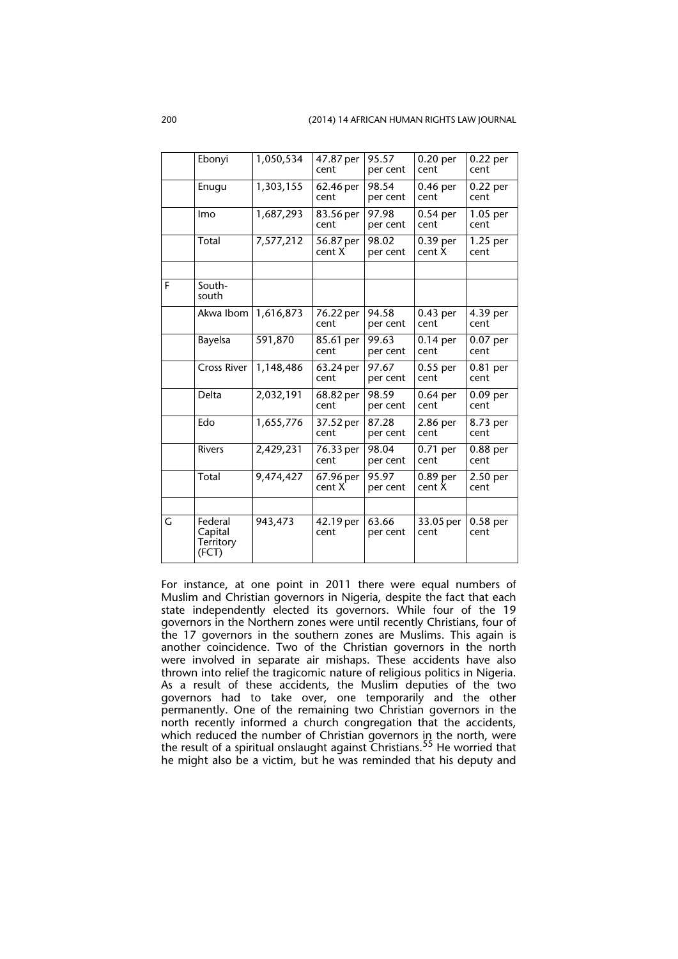|   | Ebonyi                                   | 1,050,534 | 47.87 per<br>cent   | 95.57<br>per cent | 0.20 per<br>cent   | $0.22$ per<br>cent |
|---|------------------------------------------|-----------|---------------------|-------------------|--------------------|--------------------|
|   | Enugu                                    | 1,303,155 | 62.46 per<br>cent   | 98.54<br>per cent | $0.46$ per<br>cent | 0.22 per<br>cent   |
|   | Imo                                      | 1,687,293 | 83.56 per<br>cent   | 97.98<br>per cent | $0.54$ per<br>cent | $1.05$ per<br>cent |
|   | Total                                    | 7,577,212 | 56.87 per<br>cent X | 98.02<br>per cent | 0.39 per<br>cent X | 1.25 per<br>cent   |
| F | South-<br>south                          |           |                     |                   |                    |                    |
|   | Akwa Ibom                                | 1,616,873 | 76.22 per<br>cent   | 94.58<br>per cent | 0.43 per<br>cent   | 4.39 per<br>cent   |
|   | <b>Bayelsa</b>                           | 591,870   | 85.61 per<br>cent   | 99.63<br>per cent | 0.14 per<br>cent   | $0.07$ per<br>cent |
|   | Cross River                              | 1,148,486 | 63.24 per<br>cent   | 97.67<br>per cent | $0.55$ per<br>cent | 0.81 per<br>cent   |
|   | Delta                                    | 2,032,191 | 68.82 per<br>cent   | 98.59<br>per cent | $0.64$ per<br>cent | $0.09$ per<br>cent |
|   | Edo                                      | 1,655,776 | 37.52 per<br>cent   | 87.28<br>per cent | $2.86$ per<br>cent | 8.73 per<br>cent   |
|   | <b>Rivers</b>                            | 2,429,231 | 76.33 per<br>cent   | 98.04<br>per cent | 0.71 per<br>cent   | $0.88$ per<br>cent |
|   | Total                                    | 9,474,427 | 67.96 per<br>cent X | 95.97<br>per cent | 0.89 per<br>cent X | 2.50 per<br>cent   |
| G | Federal<br>Capital<br>Territory<br>(FCT) | 943,473   | 42.19 per<br>cent   | 63.66<br>per cent | 33.05 per<br>cent  | $0.58$ per<br>cent |

For instance, at one point in 2011 there were equal numbers of Muslim and Christian governors in Nigeria, despite the fact that each state independently elected its governors. While four of the 19 governors in the Northern zones were until recently Christians, four of the 17 governors in the southern zones are Muslims. This again is another coincidence. Two of the Christian governors in the north were involved in separate air mishaps. These accidents have also thrown into relief the tragicomic nature of religious politics in Nigeria. As a result of these accidents, the Muslim deputies of the two governors had to take over, one temporarily and the other permanently. One of the remaining two Christian governors in the north recently informed a church congregation that the accidents, which reduced the number of Christian governors in the north, were the result of a spiritual onslaught against Christians.<sup>55</sup> He worried that he might also be a victim, but he was reminded that his deputy and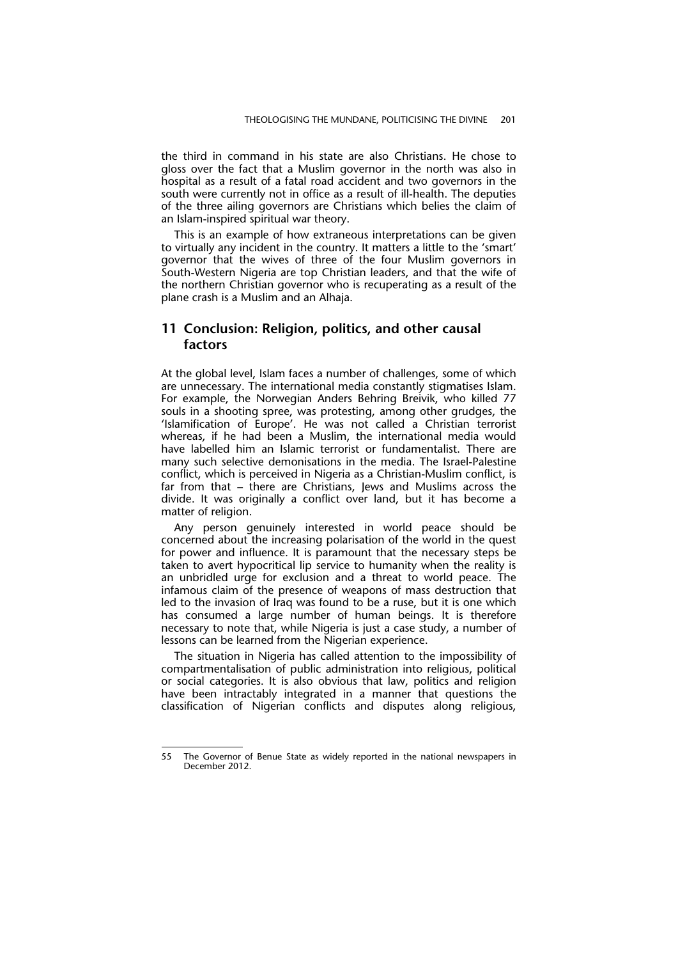the third in command in his state are also Christians. He chose to gloss over the fact that a Muslim governor in the north was also in hospital as a result of a fatal road accident and two governors in the south were currently not in office as a result of ill-health. The deputies of the three ailing governors are Christians which belies the claim of an Islam-inspired spiritual war theory.

This is an example of how extraneous interpretations can be given to virtually any incident in the country. It matters a little to the 'smart' governor that the wives of three of the four Muslim governors in South-Western Nigeria are top Christian leaders, and that the wife of the northern Christian governor who is recuperating as a result of the plane crash is a Muslim and an Alhaja.

#### **11 Conclusion: Religion, politics, and other causal factors**

At the global level, Islam faces a number of challenges, some of which are unnecessary. The international media constantly stigmatises Islam. For example, the Norwegian Anders Behring Breivik, who killed 77 souls in a shooting spree, was protesting, among other grudges, the 'Islamification of Europe'. He was not called a Christian terrorist whereas, if he had been a Muslim, the international media would have labelled him an Islamic terrorist or fundamentalist. There are many such selective demonisations in the media. The Israel-Palestine conflict, which is perceived in Nigeria as a Christian-Muslim conflict, is far from that – there are Christians, Jews and Muslims across the divide. It was originally a conflict over land, but it has become a matter of religion.

Any person genuinely interested in world peace should be concerned about the increasing polarisation of the world in the quest for power and influence. It is paramount that the necessary steps be taken to avert hypocritical lip service to humanity when the reality is an unbridled urge for exclusion and a threat to world peace. The infamous claim of the presence of weapons of mass destruction that led to the invasion of Iraq was found to be a ruse, but it is one which has consumed a large number of human beings. It is therefore necessary to note that, while Nigeria is just a case study, a number of lessons can be learned from the Nigerian experience.

The situation in Nigeria has called attention to the impossibility of compartmentalisation of public administration into religious, political or social categories. It is also obvious that law, politics and religion have been intractably integrated in a manner that questions the classification of Nigerian conflicts and disputes along religious,

<sup>55</sup> The Governor of Benue State as widely reported in the national newspapers in December 2012.